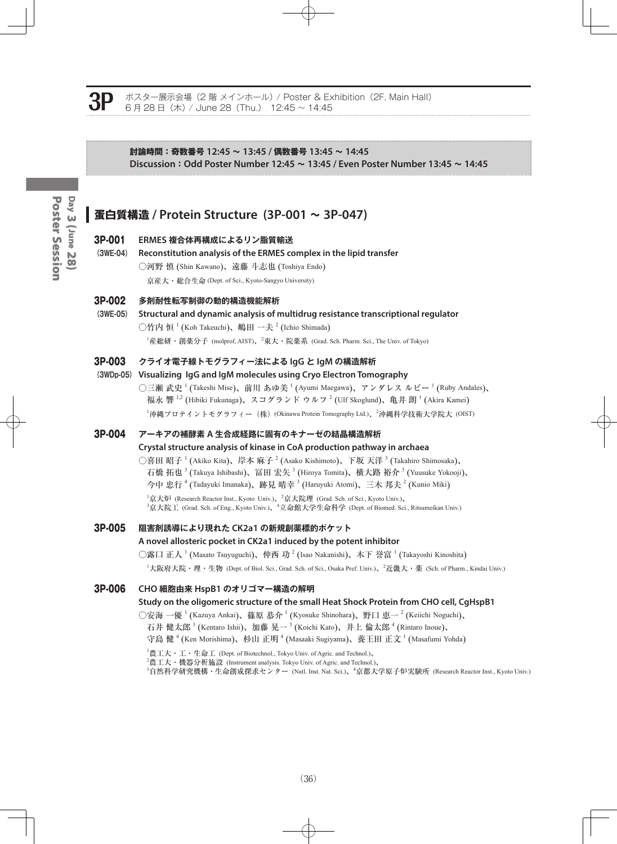Poster Session Day 3 (June 28) Poster SessionDay 3 (June 28)

#### ポスター展示会場 (2 階 メインホール) / Poster & Exhibition (2F, Main Hall) 6 月 28 日(木) / June 28(Thu.) 12:45 ~ 14:45

#### **討論時間:奇数番号 12:45 ~ 13:45 / 偶数番号 13:45 ~ 14:45 Discussion:Odd Poster Number 12:45 ~ 13:45 / Even Poster Number 13:45 ~ 14:45**

## **蛋白質構造 / Protein Structure (3P-001 ~ 3P-047)**

#### 3P-001 **ERMES 複合体再構成によるリン脂質輸送**

**(3WE-04) Reconstitution analysis of the ERMES complex in the lipid transfer** ○河野 慎 (Shin Kawano)、遠藤 斗志也 (Toshiya Endo) 京産大・総合生命 (Dept. of Sci., Kyoto-Sangyo University)

#### 3P-002 **多剤耐性転写制御の動的構造機能解析**

**(3WE-05) Structural and dynamic analysis of multidrug resistance transcriptional regulator** ○竹内 恒  $^1$  (Koh Takeuchi)、嶋田 一夫  $^2$  (Ichio Shimada)

 $^{\rm l}$ 産総研・創薬分子 (molprof, AIST)、 $^{\rm 2}$ 東大・院薬系 (Grad. Sch. Pharm. Sci., The Univ. of Tokyo)

#### 3P-003 **クライオ電子線トモグラフィー法による IgG と IgM の構造解析**

#### **(3WDp-05) Visualizing IgG and IgM molecules using Cryo Electron Tomography**

 $\bigcirc$ 三瀬 武史  $^1$  (Takeshi Mise)、前川 あゆ美  $^1$  (Ayumi Maegawa)、アンダレス ルビー  $^1$  (Ruby Andales)、 福永 響  $^{1,2}$  (Hibiki Fukunaga)、スコグランド ウルフ  $^2$  (Ulf Skoglund)、亀井 朗  $^1$  (Akira Kamei) <sup>1</sup>沖縄プロテイントモグラフィー(株)(Okinawa Protein Tomography Ltd.)、<sup>2</sup>沖縄科学技術大学院大 (OIST)

#### 3P-004 **アーキアの補酵素 A 生合成経路に固有のキナーゼの結晶構造解析**

**Crystal structure analysis of kinase in CoA production pathway in archaea**

○喜田 昭子 <sup>1</sup> (Akiko Kita)、岸本 麻子 <sup>2</sup> (Asako Kishimoto)、下坂 天洋 <sup>3</sup> (Takahiro Shimosaka)、 石橋 拓也<sup>3</sup> (Takuya Ishibashi)、冨田 宏矢 <sup>3</sup> (Hiroya Tomita)、横大路 裕介 <sup>3</sup> (Yuusuke Yokooji)、 今中 忠行 <sup>4</sup> (Tadayuki Imanaka)、跡見 晴幸 <sup>3</sup> (Haruyuki Atomi)、三木 邦夫 <sup>2</sup> (Kunio Miki)

<sup>1</sup>京大炉 (Research Reactor Inst., Kyoto Univ.)、<sup>2</sup>京大院理 (Grad. Sch. of Sci., Kyoto Univ.)、<br><sup>3</sup>京大院工 (Grad. Sch. of Eng., Kyoto Univ.)、<sup>4</sup>立命館大学生命科学 (Dept. of Biomed. Sci., Ritsumeikan Univ.)

#### 3P-005 **阻害剤誘導により現れた CK2a1 の新規創薬標的ポケット**

#### **A novel allosteric pocket in CK2a1 induced by the potent inhibitor**

○露口 正人  $^1$  (Masato Tsuyuguchi)、仲西 功  $^2$  (Isao Nakanishi)、木下 誉富  $^1$  (Takayoshi Kinoshita)

 $^1$ 大阪府大院・理・生物 (Dept. of Biol. Sci., Grad. Sch. of Sci., Osaka Pref. Univ.)、 $^2$ 近畿大・薬 (Sch. of Pharm., Kindai Univ.)

#### 3P-006 **CHO 細胞由来 HspB1 のオリゴマー構造の解明**

#### **Study on the oligomeric structure of the small Heat Shock Protein from CHO cell, CgHspB1**

○安海 一優  $^{1}$  (Kazuya Ankai)、篠原 恭介  $^{1}$  (Kyosuke Shinohara)、野口 恵一  $^{2}$  (Keiichi Noguchi)、 石井 健太郎  $^3$  (Kentaro Ishii)、加藤 晃一  $^3$  (Koichi Kato)、井上 倫太郎  $^4$  (Rintaro Inoue)、 守島 健  $^4$  (Ken Morishima)、杉山 正明  $^4$  (Masaaki Sugiyama)、養王田 正文  $^1$  (Masafumi Yohda)

 $^{1}$ 農工大・工・生命工 (Dept. of Biotechnol., Tokyo Univ. of Agric. and Technol.)、

 $^2$ 農工大・機器分析施設 (Instrument analysis. Tokyo Univ. of Agric. and Technol.)、

3 自然科学研究機構・生命創成探求センター (Natl. Inst. Nat. Sci.)、<sup>4</sup> 京都大学原子炉実験所 (Research Reactor Inst., Kyoto Univ.)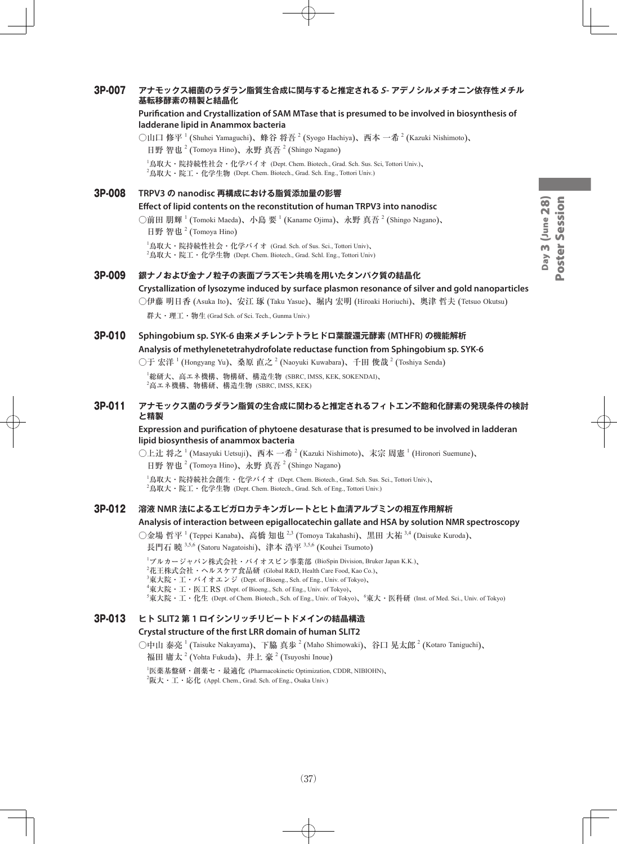#### 3P-007 **アナモックス細菌のラダラン脂質生合成に関与すると推定されるS- アデノシルメチオニン依存性メチル 基転移酵素の精製と結晶化**

#### **Purification and Crystallization of SAM MTase that is presumed to be involved in biosynthesis of ladderane lipid in Anammox bacteria**

○山口 修平 <sup>1</sup> (Shuhei Yamaguchi)、蜂谷 将吾 <sup>2</sup> (Syogo Hachiya)、西本 一希 <sup>2</sup> (Kazuki Nishimoto)、 日野 智也<sup>2</sup> (Tomoya Hino)、永野 真吾<sup>2</sup> (Shingo Nagano)

 $^{\rm I}$ 鳥取大・院持続性社会・化学バイオ (Dept. Chem. Biotech., Grad. Sch. Sus. Sci, Tottori Univ.)、  $^2$ 鳥取大・院工・化学生物 (Dept. Chem. Biotech., Grad. Sch. Eng., Tottori Univ.)

## 3P-008 **TRPV3 の nanodisc 再構成における脂質添加量の影響 Effect of lipid contents on the reconstitution of human TRPV3 into nanodisc** ○前田 朋輝  $^1$  (Tomoki Maeda)、小島 要  $^1$  (Kaname Ojima)、永野 真吾  $^2$  (Shingo Nagano)、

日野 智也<sup>2</sup> (Tomoya Hino)

 $^{\rm 1}$ 鳥取大・院持続性社会・化学バイオ (Grad. Sch. of Sus. Sci., Tottori Univ)、  $^2$ 鳥取大・院工・化学生物 (Dept. Chem. Biotech., Grad. Schl. Eng., Tottori Univ)

#### 3P-009 **銀ナノおよび金ナノ粒子の表面プラズモン共鳴を用いたタンパク質の結晶化**

#### **Crystallization of lysozyme induced by surface plasmon resonance of silver and gold nanoparticles**

○伊藤 明日香 (Asuka Ito)、安江 琢 (Taku Yasue)、堀内 宏明 (Hiroaki Horiuchi)、奥津 哲夫 (Tetsuo Okutsu)

群大・理工・物生 (Grad Sch. of Sci. Tech., Gunma Univ.)

#### 3P-010 **Sphingobium sp. SYK-6 由来メチレンテトラヒドロ葉酸還元酵素 (MTHFR) の機能解析 Analysis of methylenetetrahydrofolate reductase function from Sphingobium sp. SYK-6**

○于 宏洋  $^1$  (Hongyang Yu)、桑原 直之  $^2$  (Naoyuki Kuwabara)、千田 俊哉  $^2$  (Toshiya Senda)

1 総研大、高エネ機構、物構研、構造生物 (SBRC, IMSS, KEK, SOKENDAI)、  $^2$ 高エネ機構、物構研、構造生物 (SBRC, IMSS, KEK)

#### 3P-011 **アナモックス菌のラダラン脂質の生合成に関わると推定されるフィトエン不飽和化酵素の発現条件の検討 と精製**

#### **Expression and purification of phytoene desaturase that is presumed to be involved in ladderan lipid biosynthesis of anammox bacteria**

○上辻 将之 <sup>1</sup> (Masayuki Uetsuji)、西本 一希 <sup>2</sup> (Kazuki Nishimoto)、末宗 周憲 <sup>1</sup> (Hironori Suemune)、 日野 智也<sup>2</sup> (Tomoya Hino)、永野 真吾<sup>2</sup> (Shingo Nagano)

1 鳥取大・院持続社会創生・化学バイオ (Dept. Chem. Biotech., Grad. Sch. Sus. Sci., Tottori Univ.)、  $^2$ 鳥取大・院工・化学生物 (Dept. Chem. Biotech., Grad. Sch. of Eng., Tottori Univ.)

#### 3P-012 **溶液 NMR 法によるエピガロカテキンガレートとヒト血清アルブミンの相互作用解析**

#### **Analysis of interaction between epigallocatechin gallate and HSA by solution NMR spectroscopy**

○金場 哲平 <sup>1</sup> (Teppei Kanaba)、高橋 知也 <sup>2,3</sup> (Tomoya Takahashi)、黒田 大祐 <sup>3,4</sup> (Daisuke Kuroda)、 長門石 曉 <sup>3,5,6</sup> (Satoru Nagatoishi)、津本 浩平 <sup>3,5,6</sup> (Kouhei Tsumoto)

1 ブルカージャパン株式会社・バイオスピン事業部 (BioSpin Division, Bruker Japan K.K.)、

 $^2$ 花王株式会社・ヘルスケア食品研 (Global R&D, Health Care Food, Kao Co.)、

- $^3$ 東大院・工・バイオエンジ (Dept. of Bioeng., Sch. of Eng., Univ. of Tokyo)、
- 4 東大院・工・医工 RS (Dept. of Bioeng., Sch. of Eng., Univ. of Tokyo)、

 $^5$ 東大院・工・化生 (Dept. of Chem. Biotech., Sch. of Eng., Univ. of Tokyo)、 $^6$ 東大・医科研 (Inst. of Med. Sci., Univ. of Tokyo)

## 3P-013 **ヒト SLIT2 第 1 ロイシンリッチリピートドメインの結晶構造**

## **Crystal structure of the first LRR domain of human SLIT2**

○中山 泰亮 <sup>1</sup> (Taisuke Nakayama)、下脇 真歩 <sup>2</sup> (Maho Shimowaki)、谷口 晃太郎 <sup>2</sup> (Kotaro Taniguchi)、 福田 庸太<sup>2</sup> (Yohta Fukuda)、井上 豪 <sup>2</sup> (Tsuyoshi Inoue)

1 医薬基盤研・創薬セ・最適化 (Pharmacokinetic Optimization, CDDR, NIBIOHN)、  $^{2}$ 阪大・工・応化 (Appl. Chem., Grad. Sch. of Eng., Osaka Univ.)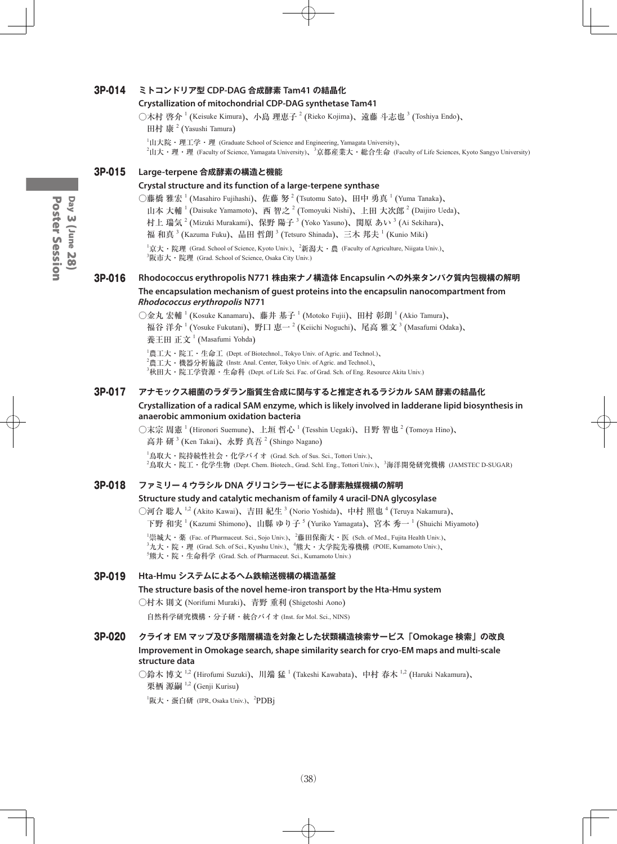#### 3P-014 **ミトコンドリア型 CDP-DAG 合成酵素 Tam41 の結晶化**

#### **Crystallization of mitochondrial CDP-DAG synthetase Tam41**

○木村 啓介 <sup>1</sup> (Keisuke Kimura)、小島 理恵子 <sup>2</sup> (Rieko Kojima)、遠藤 斗志也 <sup>3</sup> (Toshiya Endo)、

田村 康<sup>2</sup> (Yasushi Tamura)

 ${}^{1}\text{II}$ 大院・理工学・理 (Graduate School of Science and Engineering, Yamagata University)、  $^2$ 山大・理・理 (Faculty of Science, Yamagata University)、 $^3$ 京都産業大・総合生命 (Faculty of Life Sciences, Kyoto Sangyo University)

#### 3P-015 **Large-terpene 合成酵素の構造と機能**

#### **Crystal structure and its function of a large-terpene synthase**

○藤橋 雅宏  $^1$  (Masahiro Fujihashi)、佐藤 努  $^2$  (Tsutomu Sato)、田中 勇真  $^1$  (Yuma Tanaka)、

山本 大輔<sup>1</sup> (Daisuke Yamamoto)、西 智之<sup>2</sup> (Tomoyuki Nishi)、上田 大次郎<sup>2</sup> (Daijiro Ueda)、

村上 瑞気 <sup>2</sup> (Mizuki Murakami)、保野 陽子 <sup>3</sup> (Yoko Yasuno)、関原 あい <sup>3</sup> (Ai Sekihara)、

福 和真  $^3$  (Kazuma Fuku)、品田 哲朗  $^3$  (Tetsuro Shinada)、三木 邦夫  $^1$  (Kunio Miki)

 $^1$ 京大・院理 (Grad. School of Science, Kyoto Univ.)、 $^2$ 新潟大・農 (Faculty of Agriculture, Niigata Univ.)、 3 阪市大・院理 (Grad. School of Science, Osaka City Univ.)

#### 3P-016 **Rhodococcus erythropolis N771 株由来ナノ構造体 Encapsulin への外来タンパク質内包機構の解明 The encapsulation mechanism of guest proteins into the encapsulin nanocompartment from Rhodococcus erythropolis N771**

○金丸 宏輔  $^{1}$  (Kosuke Kanamaru)、藤井 基子  $^{1}$  (Motoko Fujii)、田村 彰朗  $^{1}$  (Akio Tamura)、 福谷 洋介  $^1$  (Yosuke Fukutani)、野口 恵一  $^2$  (Keiichi Noguchi)、尾高 雅文  $^3$  (Masafumi Odaka)、 養王田 正文<sup>1</sup> (Masafumi Yohda)

 $^{1}$ 農工大・院工・生命工 (Dept. of Biotechnol., Tokyo Univ. of Agric. and Technol.)、  $^2$ 農工大・機器分析施設 (Instr. Anal. Center, Tokyo Univ. of Agric. and Technol.)、  $^3$ 秋田大・院工学資源・生命科 (Dept. of Life Sci. Fac. of Grad. Sch. of Eng. Resource Akita Univ.)

#### 3P-017 **アナモックス細菌のラダラン脂質生合成に関与すると推定されるラジカル SAM 酵素の結晶化**

#### **Crystallization of a radical SAM enzyme, which is likely involved in ladderane lipid biosynthesis in anaerobic ammonium oxidation bacteria**

○末宗 周憲 <sup>1</sup> (Hironori Suemune)、上垣 哲心 <sup>1</sup> (Tesshin Uegaki)、日野 智也 <sup>2</sup> (Tomoya Hino)、 高井 研<sup>3</sup> (Ken Takai)、永野 真吾<sup>2</sup> (Shingo Nagano)

1 鳥取大・院持続性社会・化学バイオ (Grad. Sch. of Sus. Sci., Tottori Univ.)、 <sup>2</sup>鳥取大・院工・化学生物 (Dept. Chem. Biotech., Grad. Schl. Eng., Tottori Univ.)、<sup>3</sup>海洋開発研究機構 (JAMSTEC D-SUGAR)

#### 3P-018 **ファミリー 4 ウラシル DNA グリコシラーゼによる酵素触媒機構の解明**

#### **Structure study and catalytic mechanism of family 4 uracil-DNA glycosylase**

○河合 聡人  $^{1,2}$  (Akito Kawai)、吉田 紀生  $^3$  (Norio Yoshida)、中村 照也  $^4$  (Teruya Nakamura)、 下野 和実 <sup>1</sup> (Kazumi Shimono)、山縣 ゆり子 <sup>5</sup> (Yuriko Yamagata)、宮本 秀一 <sup>1</sup> (Shuichi Miyamoto)

<sup>1</sup>崇城大・薬 (Fac. of Pharmaceut. Sci., Sojo Univ.)、<sup>2</sup>藤田保衛大・医 (Sch. of Med., Fujita Health Univ.)、<br><sup>3</sup>九大・院・理 (Grad. Sch. of Sci., Kyushu Univ.)、<sup>4</sup>熊大・大学院先導機構 (POIE, Kumamoto Univ.)、 5 熊大・院・生命科学 (Grad. Sch. of Pharmaceut. Sci., Kumamoto Univ.)

#### 3P-019 **Hta-Hmu システムによるヘム鉄輸送機構の構造基盤**

#### **The structure basis of the novel heme-iron transport by the Hta-Hmu system**

○村木 則文 (Norifumi Muraki)、青野 重利 (Shigetoshi Aono)

自然科学研究機構・分子研・統合バイオ (Inst. for Mol. Sci., NINS)

#### 3P-020 **クライオ EM マップ及び多階層構造を対象とした状類構造検索サービス「Omokage 検索」の改良 Improvement in Omokage search, shape similarity search for cryo-EM maps and multi-scale structure data**

○鈴木 博文  $^{1,2}$  (Hirofumi Suzuki)、川端 猛  $^1$  (Takeshi Kawabata)、中村 春木  $^{1,2}$  (Haruki Nakamura)、 栗栖 源嗣 <sup>1,2</sup> (Genji Kurisu)

<sup>1</sup>阪大・蛋白研 (IPR, Osaka Univ.)、<sup>2</sup>PDBj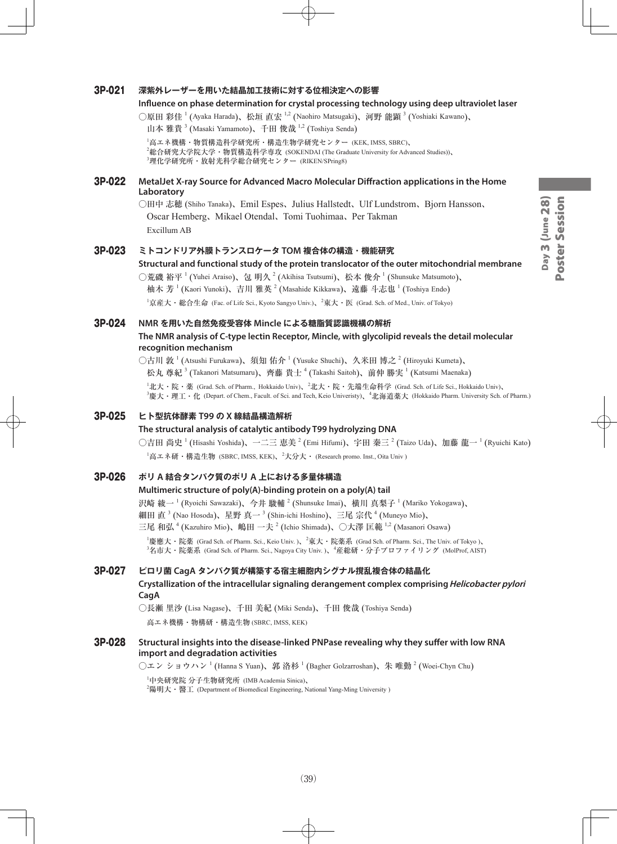# Day 3 (June 28) Poster Session Day 3 (June 28) Poster Session

#### 3P-021 **深紫外レーザーを用いた結晶加工技術に対する位相決定への影響**

#### **Influence on phase determination for crystal processing technology using deep ultraviolet laser**

○原田 彩佳 <sup>1</sup> (Ayaka Harada)、松垣 直宏 <sup>1,2</sup> (Naohiro Matsugaki)、河野 能顕 <sup>3</sup> (Yoshiaki Kawano)、

山本 雅貴<sup>3</sup> (Masaki Yamamoto)、千田 俊哉<sup>1,2</sup> (Toshiya Senda)

1 高エネ機構・物質構造科学研究所・構造生物学研究センター (KEK, IMSS, SBRC)、 2 総合研究大学院大学・物質構造科学専攻 (SOKENDAI (The Graduate University for Advanced Studies))、  $^3$ 理化学研究所・放射光科学総合研究センター (RIKEN/SPring8)

#### 3P-022 **MetalJet X-ray Source for Advanced Macro Molecular Diffraction applications in the Home Laboratory**

○田中 志穂 (Shiho Tanaka)、Emil Espes、Julius Hallstedt、Ulf Lundstrom、Bjorn Hansson、 Oscar Hemberg、Mikael Otendal、Tomi Tuohimaa、Per Takman Excillum AB

#### 3P-023 **ミトコンドリア外膜トランスロケータ TOM 複合体の構造・機能研究**

**Structural and functional study of the protein translocator of the outer mitochondrial membrane**

○荒磯 裕平 <sup>1</sup> (Yuhei Araiso)、包 明久 <sup>2</sup> (Akihisa Tsutsumi)、松本 俊介 <sup>1</sup> (Shunsuke Matsumoto)、 柚木 芳 <sup>1</sup> (Kaori Yunoki)、吉川 雅英 <sup>2</sup> (Masahide Kikkawa)、遠藤 斗志也 <sup>1</sup> (Toshiya Endo)  $^1$ 京産大・総合生命 (Fac. of Life Sci., Kyoto Sangyo Univ.)、 $^2$ 東大・医 (Grad. Sch. of Med., Univ. of Tokyo)

#### 3P-024 **NMR を用いた自然免疫受容体 Mincle による糖脂質認識機構の解析**

**The NMR analysis of C-type lectin Receptor, Mincle, with glycolipid reveals the detail molecular recognition mechanism**

○古川 敦 <sup>1</sup> (Atsushi Furukawa)、須知 佑介 <sup>1</sup> (Yusuke Shuchi)、久米田 博之 <sup>2</sup> (Hiroyuki Kumeta)、 松丸 尊紀  $^3$  (Takanori Matsumaru)、齊藤 貴士  $^4$  (Takashi Saitoh)、前仲 勝実  $^1$  (Katsumi Maenaka)

 $^1$ 北大・院・薬 (Grad. Sch. of Pharm., Hokkaido Univ)、 $^2$ 北大・院・先端生命科学 (Grad. Sch. of Life Sci., Hokkaido Univ)、 3 慶大・理工・化 (Depart. of Chem., Facult. of Sci. and Tech, Keio Univeristy)、<sup>4</sup> 北海道薬大 (Hokkaido Pharm. University Sch. of Pharm.)

#### 3P-025 **ヒト型抗体酵素 T99 の X 線結晶構造解析**

#### **The structural analysis of catalytic antibody T99 hydrolyzing DNA**

○吉田 尚史 <sup>1</sup> (Hisashi Yoshida)、一二三 恵美 <sup>2</sup> (Emi Hifumi)、宇田 秦三 <sup>2</sup> (Taizo Uda)、加藤 龍一 <sup>1</sup> (Ryuichi Kato)  $^{\rm l}$ 高エネ研・構造生物 (SBRC, IMSS, KEK)、 $^{\rm 2}$ 大分大・ (Research promo. Inst., Oita Univ )

#### 3P-026 **ポリ A 結合タンパク質のポリ A 上における多量体構造**

#### **Multimeric structure of poly(A)-binding protein on a poly(A) tail**

沢崎 綾一  $^1$  (Ryoichi Sawazaki)、今井 駿輔  $^2$  (Shunsuke Imai)、横川 真梨子  $^1$  (Mariko Yokogawa)、 細田 直  $^3$  (Nao Hosoda)、星野 真一  $^3$  (Shin-ichi Hoshino)、三尾 宗代  $^4$  (Muneyo Mio)、 三尾 和弘  $^4$  (Kazuhiro Mio)、嶋田 一夫  $^2$  (Ichio Shimada)、〇大澤 匡範  $^{1,2}$  (Masanori Osawa)

 $^1$ 慶應大・院薬 (Grad Sch. of Pharm. Sci., Keio Univ. )、 $^2$ 東大・院薬系 (Grad Sch. of Pharm. Sci., The Univ. of Tokyo )、  $^3$ 名市大・院薬系 (Grad Sch. of Pharm. Sci., Nagoya City Univ. )、"産総研・分子プロファイリング (MolProf, AIST)

#### 3P-027 **ピロリ菌 CagA タンパク質が構築する宿主細胞内シグナル撹乱複合体の結晶化**

#### **Crystallization of the intracellular signaling derangement complex comprising Helicobacter pylori CagA**

○長瀬 里沙 (Lisa Nagase)、千田 美紀 (Miki Senda)、千田 俊哉 (Toshiya Senda) 高エネ機構・物構研・構造生物 (SBRC, IMSS, KEK)

#### 3P-028 **Structural insights into the disease-linked PNPase revealing why they suffer with low RNA import and degradation activities**

 $\bigcirc$ エン ショウハン  $^1$  (Hanna S Yuan)、郭 洛杉  $^1$  (Bagher Golzarroshan)、朱 唯勤  $^2$  (Woei-Chyn Chu)

1 中央研究院 分子生物研究所 (IMB Academia Sinica)、

 $^{2}$ 陽明大・醫工 (Department of Biomedical Engineering, National Yang-Ming University )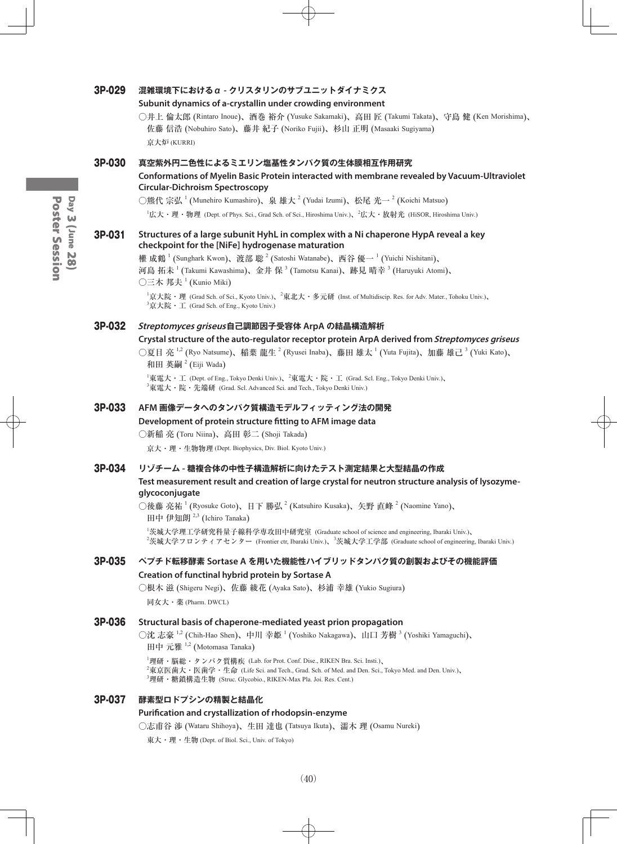#### 3P-029 **混雑環境下におけるα - クリスタリンのサブユニットダイナミクス**

#### **Subunit dynamics of a-crystallin under crowding environment**

○井上 倫太郎 (Rintaro Inoue)、酒巻 裕介 (Yusuke Sakamaki)、高田 匠 (Takumi Takata)、守島 健 (Ken Morishima)、 佐藤 信浩 (Nobuhiro Sato)、藤井 紀子 (Noriko Fujii)、杉山 正明 (Masaaki Sugiyama) 京大炉 (KURRI)

#### 3P-030 **真空紫外円二色性によるミエリン塩基性タンパク質の生体膜相互作用研究**

**Conformations of Myelin Basic Protein interacted with membrane revealed by Vacuum-Ultraviolet Circular-Dichroism Spectroscopy**

○熊代 宗弘  $^1$  (Munehiro Kumashiro)、泉 雄大  $^2$  (Yudai Izumi)、松尾 光一  $^2$  (Koichi Matsuo)

 $^1$ 広大・理・物理 (Dept. of Phys. Sci., Grad Sch. of Sci., Hiroshima Univ.)、 $^2$ 広大・放射光 (HiSOR, Hiroshima Univ.)

#### 3P-031 **Structures of a large subunit HyhL in complex with a Ni chaperone HypA reveal a key checkpoint for the [NiFe] hydrogenase maturation**

權 成鶴  $^1$  (Sunghark Kwon)、渡部 聡  $^2$  (Satoshi Watanabe)、西谷 優一  $^1$  (Yuichi Nishitani)、 河島 拓未  $^1$  (Takumi Kawashima)、金井 保  $^3$  (Tamotsu Kanai)、跡見 晴幸  $^3$  (Haruyuki Atomi)、  $\bigcirc$ 三木 邦夫  $^1$  (Kunio Miki)

 $^1$ 京大院・理 (Grad Sch. of Sci., Kyoto Univ.)、 $^2$ 東北大・多元研 (Inst. of Multidiscip. Res. for Adv. Mater., Tohoku Univ.)、 3 京大院・工 (Grad Sch. of Eng., Kyoto Univ.)

#### 3P-032 **Streptomyces griseus自己調節因子受容体 ArpA の結晶構造解析**

#### **Crystal structure of the auto-regulator receptor protein ArpA derived from Streptomyces griseus**

○夏目 亮 <sup>1,2</sup> (Ryo Natsume)、稲葉 龍生 <sup>2</sup> (Ryusei Inaba)、藤田 雄太 <sup>1</sup> (Yuta Fujita)、加藤 雄己 <sup>3</sup> (Yuki Kato)、 和田 英嗣  $^2$  (Eiji Wada)

 $^1$ 東電大・工 (Dept. of Eng., Tokyo Denki Univ.)、 $^2$ 東電大・院・工 (Grad. Scl. Eng., Tokyo Denki Univ.)、  $^3$ 東電大・院・先端研 (Grad. Scl. Advanced Sci. and Tech., Tokyo Denki Univ.)

#### 3P-033 **AFM 画像データへのタンパク質構造モデルフィッティング法の開発**

#### **Development of protein structure fitting to AFM image data**

○新稲 亮 (Toru Niina)、高田 彰二 (Shoji Takada)

京大・理・生物物理 (Dept. Biophysics, Div. Biol. Kyoto Univ.)

#### 3P-034 **リゾチーム - 糖複合体の中性子構造解析に向けたテスト測定結果と大型結晶の作成**

#### **Test measurement result and creation of large crystal for neutron structure analysis of lysozymeglycoconjugate**

○後藤 亮祐 <sup>1</sup> (Ryosuke Goto)、日下 勝弘 <sup>2</sup> (Katsuhiro Kusaka)、矢野 直峰 <sup>2</sup> (Naomine Yano)、 田中 伊知朗<sup>2,3</sup> (Ichiro Tanaka)

1 茨城大学理工学研究科量子線科学専攻田中研究室 (Graduate school of science and engineering, Ibaraki Univ.)、  $^2$ 茨城大学フロンティアセンター (Frontier ctr, Ibaraki Univ.)、 $^3$ 茨城大学工学部 (Graduate school of engineering, Ibaraki Univ.)

#### 3P-035 **ペプチド転移酵素 Sortase A を用いた機能性ハイブリッドタンパク質の創製およびその機能評価 Creation of functinal hybrid protein by Sortase A**

○根木 滋 (Shigeru Negi)、佐藤 綾花 (Ayaka Sato)、杉浦 幸雄 (Yukio Sugiura)

同女大・薬 (Pharm. DWCL)

#### 3P-036 **Structural basis of chaperone-mediated yeast prion propagation**

○沈 志豪  $^{1,2}$  (Chih-Hao Shen)、中川 幸姬  $^1$  (Yoshiko Nakagawa)、山口 芳樹  $^3$  (Yoshiki Yamaguchi)、

田中 元雅 1,2 (Motomasa Tanaka)

1 理研・脳総・タンパク質構疾 (Lab. for Prot. Conf. Dise., RIKEN Bra. Sci. Insti.)、 2 東京医歯大・医歯学・生命 (Life Sci. and Tech., Grad. Sch. of Med. and Den. Sci., Tokyo Med. and Den. Univ.)、 3 理研・糖鎖構造生物 (Struc. Glycobio., RIKEN-Max Pla. Joi. Res. Cent.)

#### 3P-037 **酵素型ロドプシンの精製と結晶化**

#### **Purification and crystallization of rhodopsin-enzyme**

○志甫谷 渉 (Wataru Shihoya)、生田 達也 (Tatsuya Ikuta)、濡木 理 (Osamu Nureki)

東大・理・生物 (Dept. of Biol. Sci., Univ. of Tokyo)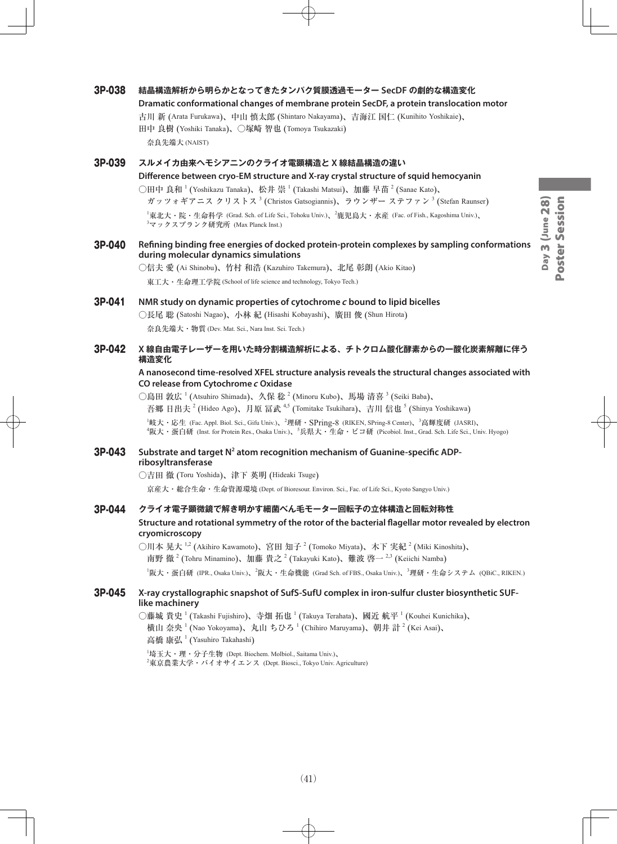#### 3P-038 **結晶構造解析から明らかとなってきたタンパク質膜透過モーター SecDF の劇的な構造変化**

**Dramatic conformational changes of membrane protein SecDF, a protein translocation motor**

古川 新 (Arata Furukawa)、中山 慎太郎 (Shintaro Nakayama)、吉海江 国仁 (Kunihito Yoshikaie)、 田中 良樹 (Yoshiki Tanaka)、○塚崎 智也 (Tomoya Tsukazaki)

奈良先端大 (NAIST)

3P-039 **スルメイカ由来ヘモシアニンのクライオ電顕構造と X 線結晶構造の違い**

**Difference between cryo-EM structure and X-ray crystal structure of squid hemocyanin** ○田中 良和  $^1$  (Yoshikazu Tanaka)、松井 崇  $^1$  (Takashi Matsui)、加藤 早苗  $^2$  (Sanae Kato)、 ガッツォギアニス クリストス $^3$  (Christos Gatsogiannis)、ラウンザー ステファン $^3$  (Stefan Raunser)  $^1$ 東北大・院・生命科学 (Grad. Sch. of Life Sci., Tohoku Univ.)、 $^2$ 鹿児島大・水産 (Fac. of Fish., Kagoshima Univ.)、 3 マックスプランク研究所 (Max Planck Inst.)

3P-040 **Refining binding free energies of docked protein-protein complexes by sampling conformations during molecular dynamics simulations**

○信夫 愛 (Ai Shinobu)、竹村 和浩 (Kazuhiro Takemura)、北尾 彰朗 (Akio Kitao)

東工大・生命理工学院 (School of life science and technology, Tokyo Tech.)

### 3P-041 **NMR study on dynamic properties of cytochrome c bound to lipid bicelles**

○長尾 聡 (Satoshi Nagao)、小林 紀 (Hisashi Kobayashi)、廣田 俊 (Shun Hirota) 奈良先端大・物質 (Dev. Mat. Sci., Nara Inst. Sci. Tech.)

#### 3P-042 **X 線自由電子レーザーを用いた時分割構造解析による、チトクロム酸化酵素からの一酸化炭素解離に伴う 構造変化**

#### **A nanosecond time-resolved XFEL structure analysis reveals the structural changes associated with CO release from Cytochrome c Oxidase**

○島田 敦広  $^1$  (Atsuhiro Shimada)、久保 稔  $^2$  (Minoru Kubo)、馬場 清喜  $^3$  (Seiki Baba)、 吾郷 日出夫<sup>2</sup> (Hideo Ago)、月原 冨武 <sup>4,5</sup> (Tomitake Tsukihara)、吉川 信也 <sup>5</sup> (Shinya Yoshikawa)

 ${}^{1}$ 岐大・応生 (Fac. Appl. Biol. Sci., Gifu Univ.)、 ${}^{2}$ 理研・S $Pring$ -8 (RIKEN, S $Pring$ -8 Center)、 ${}^{3}$ 高輝度研 (JASRI)、 4 阪大・蛋白研 (Inst. for Protein Res., Osaka Univ.)、<sup>5</sup> 兵県大・生命・ピコ研 (Picobiol. Inst., Grad. Sch. Life Sci., Univ. Hyogo)

#### **3P-043** Substrate and target N<sup>2</sup> atom recognition mechanism of Guanine-specific ADP**ribosyltransferase**

○吉田 徹 (Toru Yoshida)、津下 英明 (Hideaki Tsuge)

京産大・総合生命・生命資源環境 (Dept. of Bioresour. Environ. Sci., Fac. of Life Sci., Kyoto Sangyo Univ.)

#### 3P-044 **クライオ電子顕微鏡で解き明かす細菌べん毛モーター回転子の立体構造と回転対称性 Structure and rotational symmetry of the rotor of the bacterial flagellar motor revealed by electron cryomicroscopy**

○川本 晃大 <sup>1,2</sup> (Akihiro Kawamoto)、宮田 知子 <sup>2</sup> (Tomoko Miyata)、木下 実紀 <sup>2</sup> (Miki Kinoshita)、 南野 徹  $^{2}$  (Tohru Minamino)、加藤 貴之  $^{2}$  (Takayuki Kato)、難波 啓一  $^{2,3}$  (Keiichi Namba) <sup>1</sup>阪大・蛋白研 (IPR., Osaka Univ.)、<sup>2</sup>阪大・生命機能 (Grad Sch. of FBS., Osaka Univ.)、<sup>3</sup>理研・生命システム (QBiC., RIKEN.)

#### 3P-045 **X-ray crystallographic snapshot of SufS-SufU complex in iron-sulfur cluster biosynthetic SUFlike machinery**

○藤城 貴史 <sup>1</sup> (Takashi Fujishiro)、寺畑 拓也 <sup>1</sup> (Takuya Terahata)、國近 航平 <sup>1</sup> (Kouhei Kunichika)、 横山 奈央 <sup>1</sup> (Nao Yokoyama)、丸山 ちひろ <sup>1</sup> (Chihiro Maruyama)、朝井 計 <sup>2</sup> (Kei Asai)、 高橋 康弘<sup>1</sup> (Yasuhiro Takahashi)

1 埼玉大・理・分子生物 (Dept. Biochem. Molbiol., Saitama Univ.)、  $^{2}$ 東京農業大学・バイオサイエンス (Dept. Biosci., Tokyo Univ. Agriculture)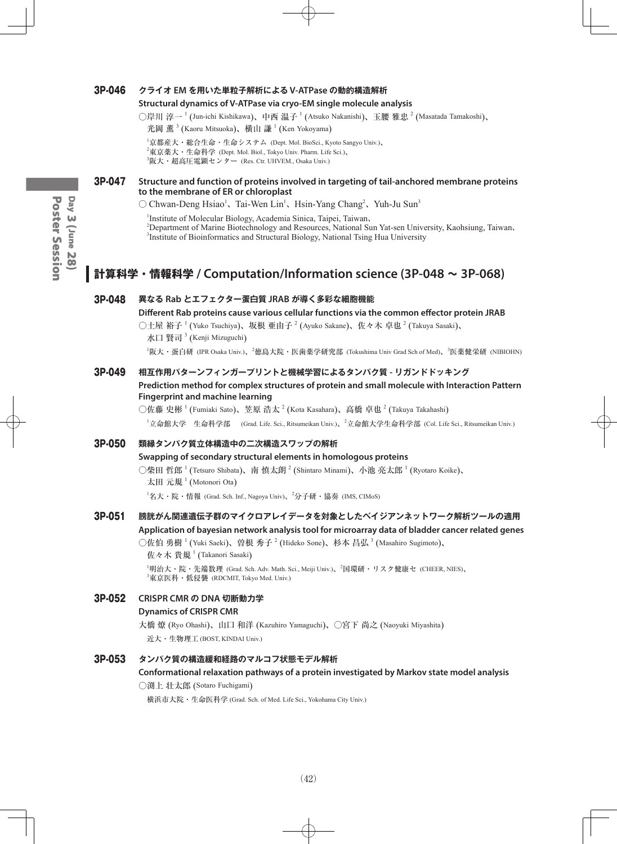#### 3P-046 **クライオ EM を用いた単粒子解析による V-ATPase の動的構造解析**

#### **Structural dynamics of V-ATPase via cryo-EM single molecule analysis**

○岸川 淳一 <sup>1</sup> (Jun-ichi Kishikawa)、中西 温子 <sup>1</sup> (Atsuko Nakanishi)、玉腰 雅忠 <sup>2</sup> (Masatada Tamakoshi)、

光岡 薫<sup>3</sup> (Kaoru Mitsuoka)、横山 謙 <sup>1</sup> (Ken Yokoyama)

1 京都産大・総合生命・生命システム (Dept. Mol. BioSci., Kyoto Sangyo Univ.)、  $^{2}$ 東京薬大・生命科学 (Dept. Mol. Biol., Tokyo Univ. Pharm. Life Sci.)、  $^3$ 阪大・超高圧電顕センター (Res. Ctr. UHVEM., Osaka Univ.)

#### 3P-047 **Structure and function of proteins involved in targeting of tail-anchored membrane proteins to the membrane of ER or chloroplast**

 $\circlearrowright$  Chwan-Deng Hsiao<sup>1</sup>, Tai-Wen Lin<sup>1</sup>, Hsin-Yang Chang<sup>2</sup>, Yuh-Ju Sun<sup>3</sup>

1 Institute of Molecular Biology, Academia Sinica, Taipei, Taiwan、 2 Department of Marine Biotechnology and Resources, National Sun Yat-sen University, Kaohsiung, Taiwan、 <sup>3</sup>Institute of Bioinformatics and Structural Biology, National Tsing Hua University

## **計算科学・情報科学 / Computation/Information science (3P-048 ~ 3P-068)**

#### 3P-048 **異なる Rab とエフェクター蛋白質 JRAB が導く多彩な細胞機能**

**Different Rab proteins cause various cellular functions via the common effector protein JRAB**

○土屋 裕子  $^1$  (Yuko Tsuchiya)、坂根 亜由子  $^2$  (Ayuko Sakane)、佐々木 卓也  $^2$  (Takuya Sasaki)、 水口 賢司  ${}^{3}$  (Kenji Mizuguchi)

<sup>1</sup>阪大・蛋白研 (IPR Osaka Univ.)、<sup>2</sup>徳島大院・医歯薬学研究部 (Tokushima Univ Grad Sch of Med)、<sup>3</sup>医薬健栄研 (NIBIOHN)

#### 3P-049 **相互作用パターンフィンガープリントと機械学習によるタンパク質 - リガンドドッキング**

**Prediction method for complex structures of protein and small molecule with Interaction Pattern Fingerprint and machine learning**

○佐藤 史彬  $^1$  (Fumiaki Sato)、笠原 浩太  $^2$  (Kota Kasahara)、高橋 卓也  $^2$  (Takuya Takahashi) <sup>1</sup>立命館大学 生命科学部 (Grad. Life. Sci., Ritsumeikan Univ.)、<sup>2</sup>立命館大学生命科学部 (Col. Life Sci., Ritsumeikan Univ.)

#### 3P-050 **類縁タンパク質立体構造中の二次構造スワップの解析**

#### **Swapping of secondary structural elements in homologous proteins**

○柴田 哲郎  $^1$  (Tetsuro Shibata)、南 慎太朗  $^2$  (Shintaro Minami)、小池 亮太郎  $^1$  (Ryotaro Koike)、 太田 元規<sup>1</sup> (Motonori Ota)

 $^1$ 名大・院・情報 (Grad. Sch. Inf., Nagoya Univ)、 $^2$ 分子研・協奏 (IMS, CIMoS)

#### 3P-051 **膀胱がん関連遺伝子群のマイクロアレイデータを対象としたベイジアンネットワーク解析ツールの適用 Application of bayesian network analysis tool for microarray data of bladder cancer related genes**

○佐伯 勇樹 <sup>1</sup> (Yuki Saeki)、曽根 秀子 <sup>2</sup> (Hideko Sone)、杉本 昌弘 <sup>3</sup> (Masahiro Sugimoto)、

 $t$ 佐々木 貴規  $^1$  (Takanori Sasaki)

1 明治大・院・先端数理 (Grad. Sch. Adv. Math. Sci., Meiji Univ.)、<sup>2</sup> 国環研・リスク健康セ (CHEER, NIES)、  $^3$ 東京医科・低侵襲 (RDCMIT, Tokyo Med. Univ.)

## 3P-052 **CRISPR CMR の DNA 切断動力学 Dynamics of CRISPR CMR** 大橋 燎 (Ryo Ohashi)、山口 和洋 (Kazuhiro Yamaguchi)、○宮下 尚之 (Naoyuki Miyashita)

近大・生物理工 (BOST, KINDAI Univ.)

#### 3P-053 **タンパク質の構造緩和経路のマルコフ状態モデル解析**

**Conformational relaxation pathways of a protein investigated by Markov state model analysis** ○渕上 壮太郎 (Sotaro Fuchigami)

横浜市大院・生命医科学 (Grad. Sch. of Med. Life Sci., Yokohama City Univ.)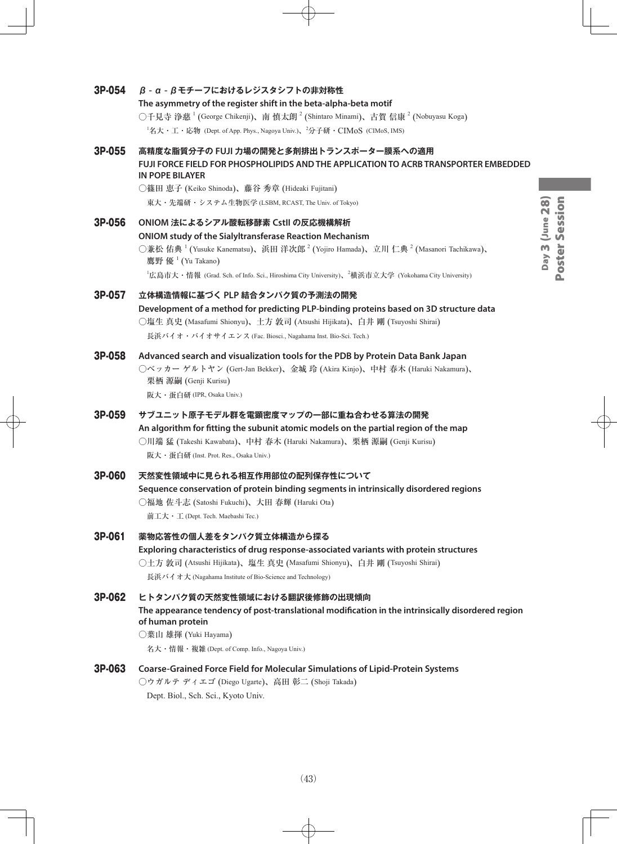## 3P-054 **β - α - βモチーフにおけるレジスタシフトの非対称性 The asymmetry of the register shift in the beta-alpha-beta motif** ○千見寺 浄慈  $^1$  (George Chikenji)、南 慎太朗  $^2$  (Shintaro Minami)、古賀 信康  $^2$  (Nobuyasu Koga)  $^1$ 名大・工・応物 (Dept. of App. Phys., Nagoya Univ.)、 $^2$ 分子研・ $\rm CIMoS$  (CIMoS, IMS) 3P-055 **高精度な脂質分子の FUJI 力場の開発と多剤排出トランスポーター膜系への適用 FUJI FORCE FIELD FOR PHOSPHOLIPIDS AND THE APPLICATION TO ACRB TRANSPORTER EMBEDDED IN POPE BILAYER** ○篠田 恵子 (Keiko Shinoda)、藤谷 秀章 (Hideaki Fujitani) Day 3 (June 28) Day 3 (June 28) 東大・先端研・システム生物医学 (LSBM, RCAST, The Univ. of Tokyo) 3P-056 **ONIOM 法によるシアル酸転移酵素 CstII の反応機構解析 ONIOM study of the Sialyltransferase Reaction Mechanism** ○兼松 佑典 <sup>1</sup> (Yusuke Kanematsu)、浜田 洋次郎 <sup>2</sup> (Yojiro Hamada)、立川 仁典 <sup>2</sup> (Masanori Tachikawa)、 鷹野 優 <sup>1</sup> (Yu Takano)  $^1$ 広島市大・情報 (Grad. Sch. of Info. Sci., Hiroshima City University)、 $^2$ 横浜市立大学 (Yokohama City University) 3P-057 **立体構造情報に基づく PLP 結合タンパク質の予測法の開発 Development of a method for predicting PLP-binding proteins based on 3D structure data** ○塩生 真史 (Masafumi Shionyu)、土方 敦司 (Atsushi Hijikata)、白井 剛 (Tsuyoshi Shirai) 長浜バイオ・バイオサイエンス (Fac. Biosci., Nagahama Inst. Bio-Sci. Tech.) 3P-058 **Advanced search and visualization tools for the PDB by Protein Data Bank Japan** ○ベッカー ゲルトヤン (Gert-Jan Bekker)、金城 玲 (Akira Kinjo)、中村 春木 (Haruki Nakamura)、 栗栖 源嗣 (Genji Kurisu) 阪大・蛋白研 (IPR, Osaka Univ.) 3P-059 **サブユニット原子モデル群を電顕密度マップの一部に重ね合わせる算法の開発 An algorithm for fitting the subunit atomic models on the partial region of the map** ○川端 猛 (Takeshi Kawabata)、中村 春木 (Haruki Nakamura)、栗栖 源嗣 (Genji Kurisu) 阪大・蛋白研 (Inst. Prot. Res., Osaka Univ.) 3P-060 **天然変性領域中に見られる相互作用部位の配列保存性について Sequence conservation of protein binding segments in intrinsically disordered regions** ○福地 佐斗志 (Satoshi Fukuchi)、大田 春輝 (Haruki Ota) 前工大・工 (Dept. Tech. Maebashi Tec.) 3P-061 **薬物応答性の個人差をタンパク質立体構造から探る Exploring characteristics of drug response-associated variants with protein structures** ○土方 敦司 (Atsushi Hijikata)、塩生 真史 (Masafumi Shionyu)、白井 剛 (Tsuyoshi Shirai) 長浜バイオ大 (Nagahama Institute of Bio-Science and Technology) 3P-062 **ヒトタンパク質の天然変性領域における翻訳後修飾の出現傾向 The appearance tendency of post-translational modification in the intrinsically disordered region of human protein** ○葉山 雄揮 (Yuki Hayama) 名大・情報・複雑 (Dept. of Comp. Info., Nagoya Univ.) 3P-063 **Coarse-Grained Force Field for Molecular Simulations of Lipid-Protein Systems** ○ウガルテ ディエゴ (Diego Ugarte)、高田 彰二 (Shoji Takada)

Poster Session Poster Session

Dept. Biol., Sch. Sci., Kyoto Univ.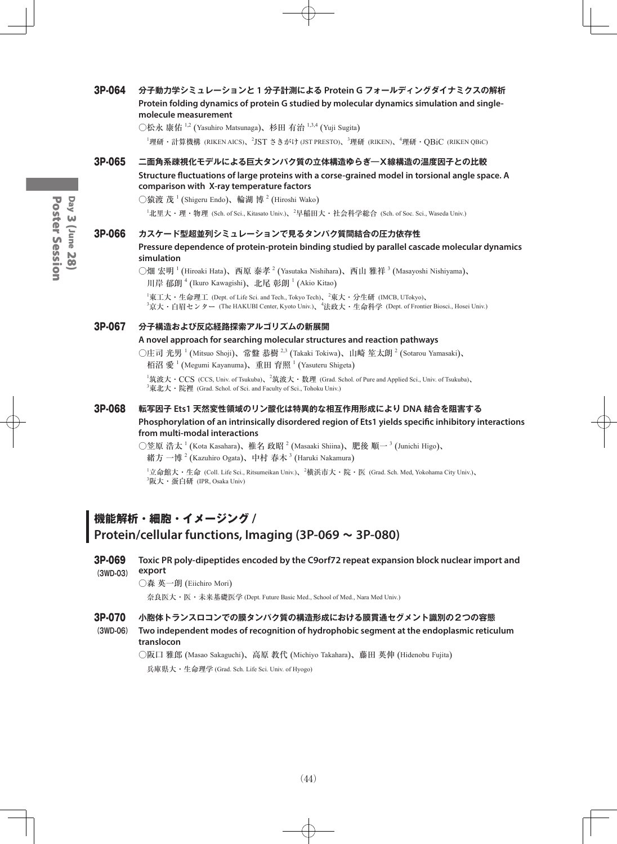#### 3P-064 **分子動力学シミュレーションと 1 分子計測による Protein G フォールディングダイナミクスの解析 Protein folding dynamics of protein G studied by molecular dynamics simulation and singlemolecule measurement**

○松永 康佑 <sup>1,2</sup> (Yasuhiro Matsunaga)、杉田 有治 <sup>1,3,4</sup> (Yuji Sugita)

<sup>1</sup>理研・計算機構 (RIKEN AICS)、<sup>2</sup>JST さきがけ (JST PRESTO)、<sup>3</sup>理研 (RIKEN)、<sup>4</sup>理研・QBiC (RIKEN QBiC)

#### 3P-065 **二面角系疎視化モデルによる巨大タンパク質の立体構造ゆらぎ―X線構造の温度因子との比較 Structure fluctuations of large proteins with a corse-grained model in torsional angle space. A comparison with X-ray temperature factors**

○猿渡 茂  $^1$  (Shigeru Endo)、輪湖 博  $^2$  (Hiroshi Wako)

<sup>1</sup>北里大・理・物理 (Sch. of Sci., Kitasato Univ.)、<sup>2</sup>早稲田大・社会科学総合 (Sch. of Soc. Sci., Waseda Univ.)

#### 3P-066 **カスケード型超並列シミュレーションで見るタンパク質間結合の圧力依存性**

**Pressure dependence of protein-protein binding studied by parallel cascade molecular dynamics simulation**

○畑 宏明  $^1$  (Hiroaki Hata)、西原 泰孝  $^2$  (Yasutaka Nishihara)、西山 雅祥  $^3$  (Masayoshi Nishiyama)、 川岸 郁朗<sup>4</sup> (Ikuro Kawagishi)、北尾 彰朗<sup>1</sup> (Akio Kitao)

 $^1$ 東工大・生命理工 (Dept. of Life Sci. and Tech., Tokyo Tech)、 $^2$ 東大・分生研 (IMCB, UTokyo)、 3 京大・白眉センター (The HAKUBI Center, Kyoto Univ.)、<sup>4</sup> 法政大・生命科学 (Dept. of Frontier Biosci., Hosei Univ.)

#### 3P-067 **分子構造および反応経路探索アルゴリズムの新展開**

#### **A novel approach for searching molecular structures and reaction pathways**

○庄司 光男  $^1$  (Mitsuo Shoji)、常盤 恭樹  $^{2,3}$  (Takaki Tokiwa)、山崎 笙太朗  $^2$  (Sotarou Yamasaki)、 栢沼 愛  $^{1}$  (Megumi Kayanuma)、重田 育照  $^{1}$  (Yasuteru Shigeta)

 $^1$ 筑波大・ $\rm CCS$  (CCS, Univ. of Tsukuba)、 $^2$ 筑波大・数理 (Grad. Schol. of Pure and Applied Sci., Univ. of Tsukuba)、  $^3$ 東北大・院裡 (Grad. Schol. of Sci. and Faculty of Sci., Tohoku Univ.)

## 3P-068 **転写因子 Ets1 天然変性領域のリン酸化は特異的な相互作用形成により DNA 結合を阻害する Phosphorylation of an intrinsically disordered region of Ets1 yields specific inhibitory interactions from multi-modal interactions**

○笠原 浩太  $^1$  (Kota Kasahara)、椎名 政昭  $^2$  (Masaaki Shiina)、肥後 順一  $^3$  (Junichi Higo)、 緒方 一博  $^{2}$  (Kazuhiro Ogata)、中村 春木  $^{3}$  (Haruki Nakamura)

 $^1$ 立命館大・生命 (Coll. Life Sci., Ritsumeikan Univ.)、 $^2$ 横浜市大・院・医 (Grad. Sch. Med, Yokohama City Univ.)、 3 阪大・蛋白研 (IPR, Osaka Univ)

## **機能解析・細胞・イメージング / Protein/cellular functions, Imaging (3P-069 ~ 3P-080)**

### 3P-069 **Toxic PR poly-dipeptides encoded by the C9orf72 repeat expansion block nuclear import and (3WD-03) export**

○森 英一朗 (Eiichiro Mori)

奈良医大・医・未来基礎医学 (Dept. Future Basic Med., School of Med., Nara Med Univ.)

#### 3P-070 **小胞体トランスロコンでの膜タンパク質の構造形成における膜貫通セグメント識別の2つの容態**

**(3WD-06) Two independent modes of recognition of hydrophobic segment at the endoplasmic reticulum translocon** 

○阪口 雅郎 (Masao Sakaguchi)、高原 教代 (Michiyo Takahara)、藤田 英伸 (Hidenobu Fujita)

兵庫県大・生命理学 (Grad. Sch. Life Sci. Univ. of Hyogo)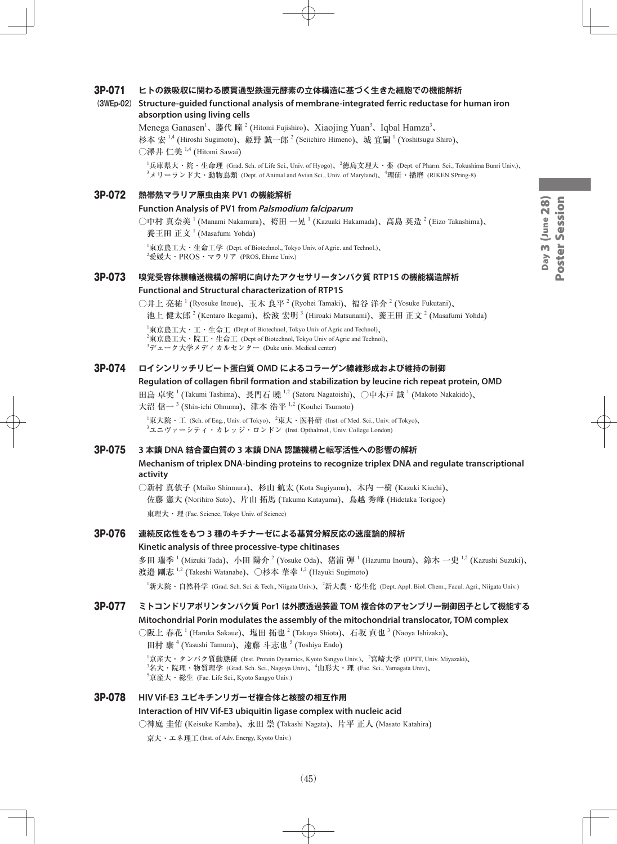# Poster Session Day 3 (June 28) Day 3 (June 28) Poster Session

#### 3P-071 **ヒトの鉄吸収に関わる膜貫通型鉄還元酵素の立体構造に基づく生きた細胞での機能解析**

#### **(3WEp-02) Structure-guided functional analysis of membrane-integrated ferric reductase for human iron absorption using living cells**

Menega Ganasen<sup>1</sup>、藤代 瞳<sup>2</sup> (Hitomi Fujishiro)、Xiaojing Yuan<sup>3</sup>、Iqbal Hamza<sup>3</sup>、 杉本 宏  $^{1,4}$  (Hiroshi Sugimoto)、姫野 誠一郎  $^2$  (Seiichiro Himeno)、城 宜嗣  $^1$  (Yoshitsugu Shiro)、  $\bigcirc$ 澤井 仁美  $^{1,4}$  (Hitomi Sawai)

1 兵庫県大・院・生命理 (Grad. Sch. of Life Sci., Univ. of Hyogo)、<sup>2</sup> 徳島文理大・薬 (Dept. of Pharm. Sci., Tokushima Bunri Univ.)、  $^3$ メリーランド大・動物鳥類 (Dept. of Animal and Avian Sci., Univ. of Maryland)、 $^4$ 理研・播磨 (RIKEN SPring-8)

#### 3P-072 **熱帯熱マラリア原虫由来 PV1 の機能解析**

#### **Function Analysis of PV1 from Palsmodium falciparum**

○中村 真奈美  $^1$  (Manami Nakamura)、袴田 一晃  $^1$  (Kazuaki Hakamada)、高島 英造  $^2$  (Eizo Takashima)、

養王田 正文<sup>1</sup> (Masafumi Yohda)

1 東京農工大・生命工学 (Dept. of Biotechnol., Tokyo Univ. of Agric. and Technol.)、  $^{2}$ 愛媛大・ $\text{PROS} \cdot \text{\small $\simeq$}$ ラリア (PROS, Ehime Univ.)

#### 3P-073 **嗅覚受容体膜輸送機構の解明に向けたアクセサリータンパク質 RTP1S の機能構造解析**

#### **Functional and Structural characterization of RTP1S**

○井上 亮祐 <sup>1</sup> (Ryosuke Inoue)、玉木 良平 <sup>2</sup> (Ryohei Tamaki)、福谷 洋介 <sup>2</sup> (Yosuke Fukutani)、 池上 健太郎  $^2$  (Kentaro Ikegami)、松波 宏明  $^3$  (Hiroaki Matsunami)、養王田 正文  $^2$  (Masafumi Yohda)

 ${}^{1}\$ 東京農工大・工・生命工 (Dept of Biotechnol, Tokyo Univ of Agric and Technol)、  $^{2}$ 東京農工大・院工・生命工 (Dept of Biotechnol, Tokyo Univ of Agric and Technol)、  $^3$ デューク大学メディカルセンター (Duke univ. Medical center)

#### 3P-074 **ロイシンリッチリピート蛋白質 OMD によるコラーゲン線維形成および維持の制御**

#### **Regulation of collagen fibril formation and stabilization by leucine rich repeat protein, OMD**

田島 卓実  $^1$  (Takumi Tashima)、長門石 曉  $^{1,2}$  (Satoru Nagatoishi)、〇中木戸 誠  $^1$  (Makoto Nakakido)、 大沼 信一<sup>3</sup> (Shin-ichi Ohnuma)、津本 浩平 <sup>1,2</sup> (Kouhei Tsumoto)

 $^1$ 東大院・工 (Sch. of Eng., Univ. of Tokyo)、 $^2$ 東大・医科研 (Inst. of Med. Sci., Univ. of Tokyo)、  $^3$ ユニヴァーシティ・カレッジ・ロンドン (Inst. Opthalmol., Univ. College London)

#### 3P-075 **3 本鎖 DNA 結合蛋白質の 3 本鎖 DNA 認識機構と転写活性への影響の解析**

#### **Mechanism of triplex DNA-binding proteins to recognize triplex DNA and regulate transcriptional activity**

○新村 真依子 (Maiko Shinmura)、杉山 航太 (Kota Sugiyama)、木内 一樹 (Kazuki Kiuchi)、 佐藤 憲大 (Norihiro Sato)、片山 拓馬 (Takuma Katayama)、鳥越 秀峰 (Hidetaka Torigoe) 東理大・理 (Fac. Science, Tokyo Univ. of Science)

## 3P-076 **連続反応性をもつ 3 種のキチナーゼによる基質分解反応の速度論的解析**

#### **Kinetic analysis of three processive-type chitinases**

多田 瑞季 <sup>1</sup> (Mizuki Tada)、小田 陽介 <sup>2</sup> (Yosuke Oda)、猪浦 弾 <sup>1</sup> (Hazumu Inoura)、鈴木 一史 <sup>1,2</sup> (Kazushi Suzuki)、 渡邉 剛志 <sup>1,2</sup> (Takeshi Watanabe)、○杉本 華幸 <sup>1,2</sup> (Hayuki Sugimoto)

1 新大院・自然科学 (Grad. Sch. Sci. & Tech., Niigata Univ.)、<sup>2</sup> 新大農・応生化 (Dept. Appl. Biol. Chem., Facul. Agri., Niigata Univ.)

#### 3P-077 **ミトコンドリアポリンタンパク質 Por1 は外膜透過装置 TOM 複合体のアセンブリー制御因子として機能する Mitochondrial Porin modulates the assembly of the mitochondrial translocator, TOM complex**

○阪上 春花  $^1$  (Haruka Sakaue)、塩田 拓也  $^2$  (Takuya Shiota)、石坂 直也  $^3$  (Naoya Ishizaka)、

田村 康<sup>4</sup> (Yasushi Tamura)、遠藤 斗志也<sup>5</sup> (Toshiya Endo)

1 京産大・タンパク質動態研 (Inst. Protein Dynamics, Kyoto Sangyo Univ.)、<sup>2</sup> 宮崎大学 (OPTT, Univ. Miyazaki)、  $^3$ 名大・院理・物質理学 (Grad. Sch. Sci., Nagoya Univ)、 $^4$ 山形大・理 (Fac. Sci., Yamagata Univ)、 5 京産大・総生 (Fac. Life Sci., Kyoto Sangyo Univ.)

#### 3P-078 **HIV Vif-E3 ユビキチンリガーゼ複合体と核酸の相互作用**

#### **Interaction of HIV Vif-E3 ubiquitin ligase complex with nucleic acid**

○神庭 圭佑 (Keisuke Kamba)、永田 崇 (Takashi Nagata)、片平 正人 (Masato Katahira)

京大・エネ理工 (Inst. of Adv. Energy, Kyoto Univ.)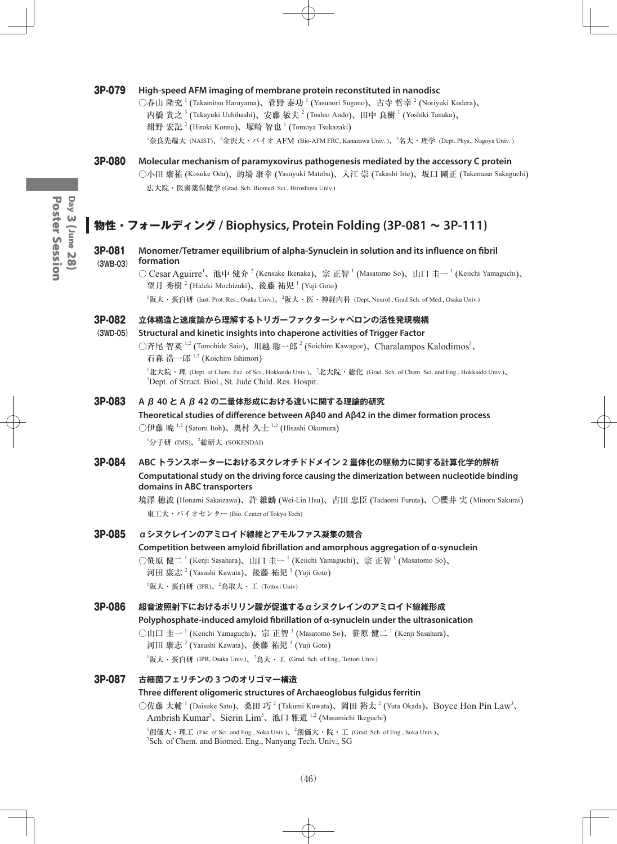#### 3P-079 **High-speed AFM imaging of membrane protein reconstituted in nanodisc**

○春山 隆充  $^1$  (Takamitsu Haruyama)、菅野 泰功  $^1$  (Yasunori Sugano)、古寺 哲幸  $^2$  (Noriyuki Kodera)、 内橋 貴之  $^3$  (Takayuki Uchihashi)、安藤 敏夫  $^2$  (Toshio Ando)、田中 良樹  $^1$  (Yoshiki Tanaka)、 紺野 宏記  $^2$  (Hiroki Konno)、塚崎 智也  $^1$  (Tomoya Tsukazaki)

<sup>1</sup>奈良先端大 (NAIST)、<sup>2</sup>金沢大・バイオ AFM (Bio-AFM FRC, Kanazawa Univ. )、<sup>3</sup>名大・理学 (Dept. Phys., Nagoya Univ. )

3P-080 **Molecular mechanism of paramyxovirus pathogenesis mediated by the accessory C protein** ○小田 康祐 (Kosuke Oda)、的場 康幸 (Yasuyuki Matoba)、入江 崇 (Takashi Irie)、坂口 剛正 (Takemasa Sakaguchi) 広大院・医歯薬保健学 (Grad. Sch. Biomed. Sci., Hiroshima Univ.)

## **物性・フォールディング / Biophysics, Protein Folding (3P-081 ~ 3P-111)**

#### 3P-081 **Monomer/Tetramer equilibrium of alpha-Synuclein in solution and its influence on fibril (3WB-03) formation**

○ Cesar Aguirre<sup>1</sup>、池中 健介<sup>2</sup> (Kensuke Ikenaka)、宗 正智 <sup>1</sup> (Masatomo So)、山口 圭一 <sup>1</sup> (Keiichi Yamaguchi)、 望月 秀樹  $^2$  (Hideki Mochizuki)、後藤 祐児  $^1$  (Yuji Goto)

1 阪大・蛋白研 (Inst. Prot. Res., Osaka Univ.)、<sup>2</sup> 阪大・医・神経内科 (Dept. Neurol., Grad Sch. of Med., Osaka Univ.)

#### 3P-082 **立体構造と速度論から理解するトリガーファクターシャペロンの活性発現機構**

#### **(3WD-05) Structural and kinetic insights into chaperone activities of Trigger Factor**

○斉尾 智英 <sup>1,2</sup> (Tomohide Saio)、川越 聡一郎<sup>2</sup> (Soichiro Kawagoe)、Charalampos Kalodimos<sup>3</sup>、 石森 浩一郎 1,2 (Koichiro Ishimori)

<sup>1</sup>北大院・理 (Dept. of Chem. Fac. of Sci., Hokkaido Univ.)、<sup>2</sup>北大院・総化 (Grad. Sch. of Chem. Sci. and Eng., Hokkaido Univ.)、 <sup>3</sup>Dept. of Struct. Biol., St. Jude Child. Res. Hospit.

## 3P-083 **A β 40 と A β 42 の二量体形成における違いに関する理論的研究**

#### **Theoretical studies of difference between Aβ40 and Aβ42 in the dimer formation process**

○伊藤 暁  $^{1,2}$  (Satoru Itoh)、奥村 久士  $^{1,2}$  (Hisashi Okumura)

<sup>1</sup>分子研 (IMS)、<sup>2</sup>総研大 (SOKENDAI)

#### 3P-084 **ABC トランスポーターにおけるヌクレオチドドメイン 2 量体化の駆動力に関する計算化学的解析 Computational study on the driving force causing the dimerization between nucleotide binding domains in ABC transporters**

境澤 穂波 (Honami Sakaizawa)、許 維麟 (Wei-Lin Hsu)、古田 忠臣 (Tadaomi Furuta)、○櫻井 実 (Minoru Sakurai) 東工大・バイオセンター (Bio. Center of Tokyo Tech)

#### 3P-085 **αシヌクレインのアミロイド線維とアモルファス凝集の競合**

**Competition between amyloid fibrillation and amorphous aggregation of α-synuclein**  ○笹原 健二 <sup>1</sup> (Kenji Sasahara)、山口 圭一 <sup>1</sup> (Keiichi Yamaguchi)、宗 正智 <sup>1</sup> (Masatomo So)、 河田 康志  $^2$  (Yasushi Kawata)、後藤 祐児  $^1$  (Yuji Goto)  $^1$ 阪大・蛋白研 (IPR)、 $^2$ 鳥取大・工 (Tottori Univ)

#### 3P-086 **超音波照射下におけるポリリン酸が促進するαシヌクレインのアミロイド線維形成**

#### **Polyphosphate-induced amyloid fibrillation of α-synuclein under the ultrasonication**

○山口 圭一 <sup>1</sup> (Keiichi Yamaguchi)、宗 正智 <sup>1</sup> (Masatomo So)、笹原 健二 <sup>1</sup> (Kenji Sasahara)、 河田 康志  $^2$  (Yasushi Kawata)、後藤 祐児  $^1$  (Yuji Goto)

 $^1$ 阪大・蛋白研 (IPR, Osaka Univ.)、 $^2$ 鳥大・工 (Grad. Sch. of Eng., Tottori Univ.)

#### 3P-087 **古細菌フェリチンの 3 つのオリゴマー構造**

#### **Three different oligomeric structures of Archaeoglobus fulgidus ferritin**

○佐藤 大輔 <sup>1</sup> (Daisuke Sato)、桑田 巧 <sup>2</sup> (Takumi Kuwata)、岡田 裕太 <sup>2</sup> (Yuta Okada)、Boyce Hon Pin Law<sup>3</sup>、 Ambrish Kumar<sup>3</sup>、Sierin Lim<sup>3</sup>、池口 雅道 <sup>1,2</sup> (Masamichi Ikeguchi)

 $^1$ 創価大・理工 (Fac. of Sci. and Eng., Soka Univ.)、 $^2$ 創価大・院・工 (Grad. Sch. of Eng., Soka Univ.)、 3 Sch. of Chem. and Biomed. Eng., Nanyang Tech. Univ., SG

Day 3 (June 28)<br>Poster Session Poster SessionDay 3 (June 28)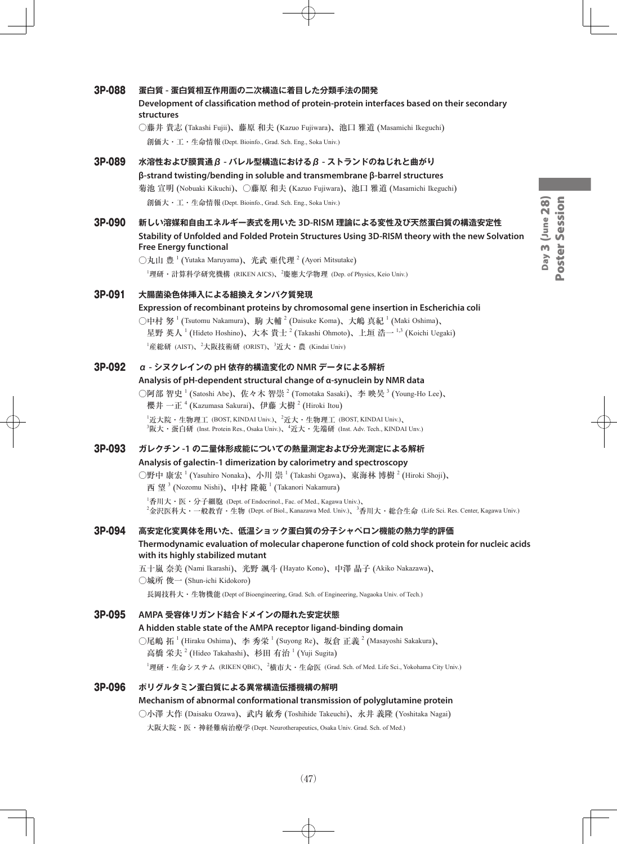# Day 3 (June 28) Poster Session Day 3 (June 28) Poster Session

#### 3P-088 **蛋白質 - 蛋白質相互作用面の二次構造に着目した分類手法の開発**

#### **Development of classification method of protein-protein interfaces based on their secondary structures**

○藤井 貴志 (Takashi Fujii)、藤原 和夫 (Kazuo Fujiwara)、池口 雅道 (Masamichi Ikeguchi) 創価大・工・生命情報 (Dept. Bioinfo., Grad. Sch. Eng., Soka Univ.)

- 3P-089 **水溶性および膜貫通β - バレル型構造におけるβ - ストランドのねじれと曲がり β-strand twisting/bending in soluble and transmembrane β-barrel structures** 菊池 宣明 (Nobuaki Kikuchi)、○藤原 和夫 (Kazuo Fujiwara)、池口 雅道 (Masamichi Ikeguchi) 創価大・工・生命情報 (Dept. Bioinfo., Grad. Sch. Eng., Soka Univ.)
- 3P-090 **新しい溶媒和自由エネルギー表式を用いた 3D-RISM 理論による変性及び天然蛋白質の構造安定性 Stability of Unfolded and Folded Protein Structures Using 3D-RISM theory with the new Solvation Free Energy functional**

 $\bigcirc$ 丸山 豊  $^1$  (Yutaka Maruyama)、光武 亜代理  $^2$  (Ayori Mitsutake) <sup>1</sup>理研・計算科学研究機構 (RIKEN AICS)、<sup>2</sup>慶應大学物理 (Dep. of Physics, Keio Univ.)

#### 3P-091 **大腸菌染色体挿入による組換えタンパク質発現**

**Expression of recombinant proteins by chromosomal gene insertion in Escherichia coli** ○中村 努  $^1$  (Tsutomu Nakamura)、駒 大輔  $^2$  (Daisuke Koma)、大嶋 真紀  $^1$  (Maki Oshima)、

星野 英人  $^1$  (Hideto Hoshino)、大本 貴士  $^2$  (Takashi Ohmoto)、上垣 浩一  $^{1,3}$  (Koichi Uegaki) <sup>1</sup>産総研 (AIST)、<sup>2</sup>大阪技術研 (ORIST)、<sup>3</sup>近大・農 (Kindai Univ)

#### 3P-092 **α - シヌクレインの pH 依存的構造変化の NMR データによる解析**

#### **Analysis of pH-dependent structural change of α-synuclein by NMR data**

○阿部 智史  $^1$  (Satoshi Abe)、佐々木 智崇  $^2$  (Tomotaka Sasaki)、李 映昊  $^3$  (Young-Ho Lee)、 櫻井 一正  $^4$  (Kazumasa Sakurai)、伊藤 大樹  $^2$  (Hiroki Itou)  $^1$ 近大院・生物理工 (BOST, KINDAI Univ.)、 $^2$ 近大・生物理工 (BOST, KINDAI Univ.)、  $^3$ 阪大・蛋白研 (Inst. Protein Res., Osaka Univ.)、 $^4$ 近大・先端研 (Inst. Adv. Tech., KINDAI Unv.)

## 3P-093 **ガレクチン -1 の二量体形成能についての熱量測定および分光測定による解析 Analysis of galectin-1 dimerization by calorimetry and spectroscopy**

○野中 康宏  $^1$  (Yasuhiro Nonaka)、小川 崇  $^1$  (Takashi Ogawa)、東海林 博樹  $^2$  (Hiroki Shoji)、 西 望  $^3$  (Nozomu Nishi)、中村 隆範  $^1$  (Takanori Nakamura)

 ${}^{1}\!$ 香川大・医・分子細胞 (Dept. of Endocrinol., Fac. of Med., Kagawa Univ.)、  $^2$ 金沢医科大・一般教育・生物 (Dept. of Biol., Kanazawa Med. Univ.)、 $^3$ 香川大・総合生命 (Life Sci. Res. Center, Kagawa Univ.)

#### 3P-094 **高安定化変異体を用いた、低温ショック蛋白質の分子シャペロン機能の熱力学的評価 Thermodynamic evaluation of molecular chaperone function of cold shock protein for nucleic acids with its highly stabilized mutant**

五十嵐 奈美 (Nami Ikarashi)、光野 颯斗 (Hayato Kono)、中澤 晶子 (Akiko Nakazawa)、 ○城所 俊一 (Shun-ichi Kidokoro) 長岡技科大・生物機能 (Dept of Bioengineering, Grad. Sch. of Engineering, Nagaoka Univ. of Tech.)

3P-095 **AMPA 受容体リガンド結合ドメインの隠れた安定状態 A hidden stable state of the AMPA receptor ligand-binding domain** ○尾嶋 拓 <sup>1</sup> (Hiraku Oshima)、李 秀栄 <sup>1</sup> (Suyong Re)、坂倉 正義 <sup>2</sup> (Masayoshi Sakakura)、 高橋 栄夫  $^2$  (Hideo Takahashi)、杉田 有治  $^1$  (Yuji Sugita) 1 理研・生命システム (RIKEN QBiC)、<sup>2</sup> 横市大・生命医 (Grad. Sch. of Med. Life Sci., Yokohama City Univ.) 3P-096 **ポリグルタミン蛋白質による異常構造伝播機構の解明**

## **Mechanism of abnormal conformational transmission of polyglutamine protein** ○小澤 大作 (Daisaku Ozawa)、武内 敏秀 (Toshihide Takeuchi)、永井 義隆 (Yoshitaka Nagai) 大阪大院・医・神経難病治療学 (Dept. Neurotherapeutics, Osaka Univ. Grad. Sch. of Med.)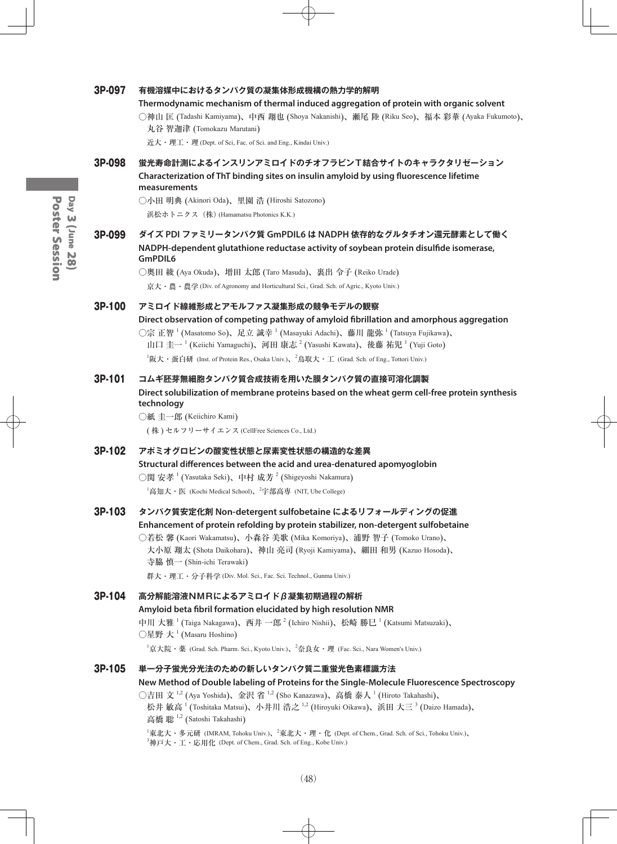#### 3P-097 **有機溶媒中におけるタンパク質の凝集体形成機構の熱力学的解明**

#### **Thermodynamic mechanism of thermal induced aggregation of protein with organic solvent**

○神山 匡 (Tadashi Kamiyama)、中西 翔也 (Shoya Nakanishi)、瀬尾 陸 (Riku Seo)、福本 彩華 (Ayaka Fukumoto)、 丸谷 智迦津 (Tomokazu Marutani)

近大・理工・理 (Dept. of Sci, Fac. of Sci. and Eng., Kindai Univ.)

3P-098 **蛍光寿命計測によるインスリンアミロイドのチオフラビンT結合サイトのキャラクタリゼーション Characterization of ThT binding sites on insulin amyloid by using fluorescence lifetime measurements**

> ○小田 明典 (Akinori Oda)、里園 浩 (Hiroshi Satozono) 浜松ホトニクス(株) (Hamamatsu Photonics K.K.)

### 3P-099 **ダイズ PDI ファミリータンパク質 GmPDIL6 は NADPH 依存的なグルタチオン還元酵素として働く NADPH-dependent glutathione reductase activity of soybean protein disulfide isomerase, GmPDIL6**

○奥田 綾 (Aya Okuda)、増田 太郎 (Taro Masuda)、裏出 令子 (Reiko Urade) 京大・農・農学 (Div. of Agronomy and Horticultural Sci., Grad. Sch. of Agric., Kyoto Univ.)

#### 3P-100 **アミロイド線維形成とアモルファス凝集形成の競争モデルの観察**

**Direct observation of competing pathway of amyloid fibrillation and amorphous aggregation** ○宗 正智  $^1$  (Masatomo So)、足立 誠幸  $^1$  (Masayuki Adachi)、藤川 龍弥  $^1$  (Tatsuya Fujikawa)、 山口 圭一<sup>1</sup> (Keiichi Yamaguchi)、河田 康志<sup>2</sup> (Yasushi Kawata)、後藤 祐児<sup>1</sup> (Yuji Goto)  $^1$ 阪大・蛋白研 (Inst. of Protein Res., Osaka Univ.)、 $^2$ 鳥取大・工 (Grad. Sch. of Eng., Tottori Univ.)

#### 3P-101 **コムギ胚芽無細胞タンパク質合成技術を用いた膜タンパク質の直接可溶化調製**

**Direct solubilization of membrane proteins based on the wheat germ cell-free protein synthesis technology**

○紙 圭一郎 (Keiichiro Kami)

( 株 ) セルフリーサイエンス (CellFree Sciences Co., Ltd.)

## 3P-102 **アポミオグロビンの酸変性状態と尿素変性状態の構造的な差異 Structural differences between the acid and urea-denatured apomyoglobin** ○関 安孝  $^1$  (Yasutaka Seki)、中村 成芳  $^2$  (Shigeyoshi Nakamura)  $^1$ 高知大・医 (Kochi Medical School)、 $^2$ 宇部高専 (NIT, Ube College)

#### 3P-103 **タンパク質安定化剤 Non-detergent sulfobetaine によるリフォールディングの促進 Enhancement of protein refolding by protein stabilizer, non-detergent sulfobetaine**

#### ○若松 馨 (Kaori Wakamatsu)、小森谷 美歌 (Mika Komoriya)、浦野 智子 (Tomoko Urano)、 大小原 翔太 (Shota Daikohara)、神山 亮司 (Ryoji Kamiyama)、細田 和男 (Kazuo Hosoda)、 寺脇 慎一 (Shin-ichi Terawaki)

群大・理工・分子科学 (Div. Mol. Sci., Fac. Sci. Technol., Gunma Univ.)

#### 3P-104 **高分解能溶液NMRによるアミロイドβ凝集初期過程の解析**

#### **Amyloid beta fibril formation elucidated by high resolution NMR**

中川 大雅  $^1$  (Taiga Nakagawa)、西井 一郎  $^2$  (Ichiro Nishii)、松崎 勝巳  $^1$  (Katsumi Matsuzaki)、  $\bigcirc$ 星野 大  $^1$  (Masaru Hoshino)

 $^1$ 京大院・薬 (Grad. Sch. Pharm. Sci., Kyoto Univ.)、 $^2$ 奈良女・理 (Fac. Sci., Nara Women's Univ.)

#### 3P-105 **単一分子蛍光分光法のための新しいタンパク質二重蛍光色素標識方法**

**New Method of Double labeling of Proteins for the Single-Molecule Fluorescence Spectroscopy**

○吉田 文  $^{1,2}$  (Aya Yoshida)、金沢 省  $^{1,2}$  (Sho Kanazawa)、高橋 泰人  $^{1}$  (Hiroto Takahashi)、 松井 敏高 <sup>1</sup> (Toshitaka Matsui)、小井川 浩之 <sup>1,2</sup> (Hiroyuki Oikawa)、浜田 大三 <sup>3</sup> (Daizo Hamada)、 高橋 聡<sup>1,2</sup> (Satoshi Takahashi)

 $^1$ 東北大・多元研 (IMRAM, Tohoku Univ.)、 $^2$ 東北大・理・化 (Dept. of Chem., Grad. Sch. of Sci., Tohoku Univ.)、  $^3$ 神戸大・工・応用化 (Dept. of Chem., Grad. Sch. of Eng., Kobe Univ.)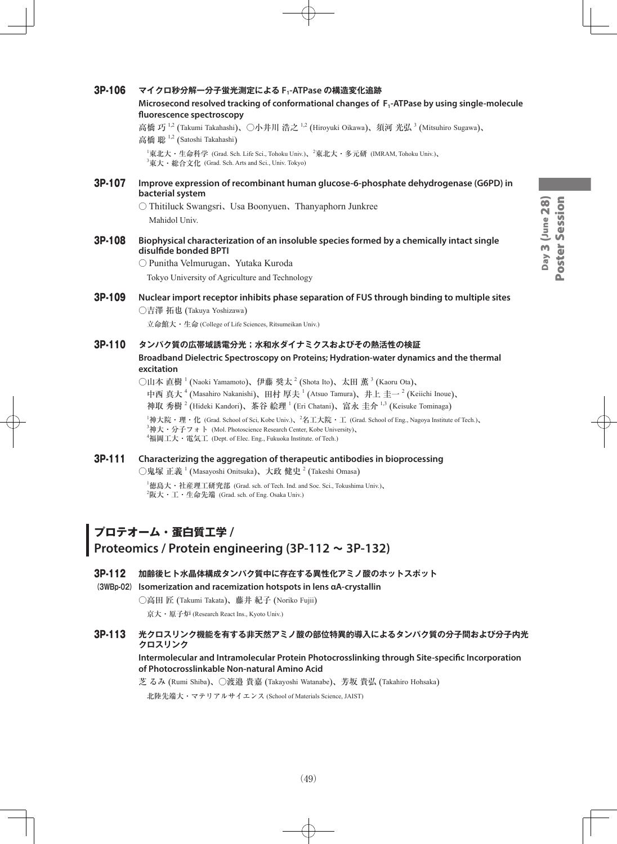#### 3P-106 **マイクロ秒分解一分子蛍光測定による F1-ATPase の構造変化追跡**

**Microsecond resolved tracking of conformational changes of F1-ATPase by using single-molecule fluorescence spectroscopy**

高橋 巧 <sup>1,2</sup> (Takumi Takahashi)、〇小井川 浩之 <sup>1,2</sup> (Hiroyuki Oikawa)、須河 光弘 <sup>3</sup> (Mitsuhiro Sugawa)、 高橋 聡<sup>1,2</sup> (Satoshi Takahashi)

 $^1$ 東北大・生命科学 (Grad. Sch. Life Sci., Tohoku Univ.)、 $^2$ 東北大・多元研 (IMRAM, Tohoku Univ.)、  ${}^{3}$ 東大・総合文化 (Grad. Sch. Arts and Sci., Univ. Tokyo)

3P-107 **Improve expression of recombinant human glucose-6-phosphate dehydrogenase (G6PD) in bacterial system**

> ○ Thitiluck Swangsri、Usa Boonyuen、Thanyaphorn Junkree Mahidol Univ.

3P-108 **Biophysical characterization of an insoluble species formed by a chemically intact single disulfide bonded BPTI**

> ○ Punitha Velmurugan、Yutaka Kuroda Tokyo University of Agriculture and Technology

#### 3P-109 **Nuclear import receptor inhibits phase separation of FUS through binding to multiple sites** ○吉澤 拓也 (Takuya Yoshizawa)

立命館大・生命 (College of Life Sciences, Ritsumeikan Univ.)

#### 3P-110 **タンパク質の広帯域誘電分光;水和水ダイナミクスおよびその熱活性の検証**

**Broadband Dielectric Spectroscopy on Proteins; Hydration-water dynamics and the thermal excitation**

○山本 直樹 <sup>1</sup> (Naoki Yamamoto)、伊藤 奨太 <sup>2</sup> (Shota Ito)、太田 薫 <sup>3</sup> (Kaoru Ota)、

中西 真大 <sup>4</sup> (Masahiro Nakanishi)、田村 厚夫 <sup>1</sup> (Atsuo Tamura)、井上 圭一 <sup>2</sup> (Keiichi Inoue)、

神取 秀樹  $^2$  (Hideki Kandori)、茶谷 絵理  $^1$  (Eri Chatani)、富永 圭介  $^{1,3}$  (Keisuke Tominaga)

 $14\#\text{t}$ 院・理・化 (Grad. School of Sci, Kobe Univ.)、 $24\text{t}$ 大院・工 (Grad. School of Eng., Nagoya Institute of Tech.)、 <sup>3</sup>神大・分子フォト (Mol. Photoscience Research Center, Kobe University)、 4 福岡工大・電気工 (Dept. of Elec. Eng., Fukuoka Institute. of Tech.)

#### 3P-111 **Characterizing the aggregation of therapeutic antibodies in bioprocessing**

○鬼塚 正義  $^1$  (Masayoshi Onitsuka)、大政 健史  $^2$  (Takeshi Omasa)

 $^1$ 徳島大・社産理工研究部 (Grad. sch. of Tech. Ind. and Soc. Sci., Tokushima Univ.)、  $^{2}$ 阪大・工・生命先端(Grad. sch. of Eng. Osaka Univ.)

## **プロテオーム・蛋白質工学 /**

## **Proteomics / Protein engineering (3P-112 ~ 3P-132)**

3P-112 **加齢後ヒト水晶体構成タンパク質中に存在する異性化アミノ酸のホットスポット**

**(3WBp-02) Isomerization and racemization hotspots in lens αA-crystallin**

○高田 匠 (Takumi Takata)、藤井 紀子 (Noriko Fujii)

京大・原子炉 (Research React Ins., Kyoto Univ.)

### 3P-113 **光クロスリンク機能を有する非天然アミノ酸の部位特異的導入によるタンパク質の分子間および分子内光 クロスリンク**

#### **Intermolecular and Intramolecular Protein Photocrosslinking through Site-specific Incorporation of Photocrosslinkable Non-natural Amino Acid**

芝 るみ (Rumi Shiba)、○渡邉 貴嘉 (Takayoshi Watanabe)、芳坂 貴弘 (Takahiro Hohsaka)

北陸先端大・マテリアルサイエンス (School of Materials Science, JAIST)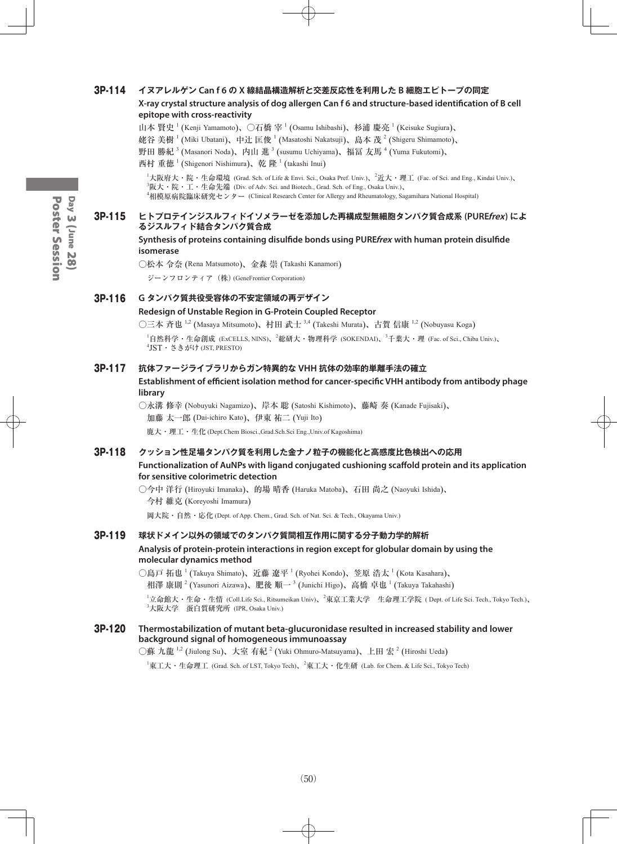#### 3P-114 **イヌアレルゲン Can f 6 の X 線結晶構造解析と交差反応性を利用した B 細胞エピトープの同定 X-ray crystal structure analysis of dog allergen Can f 6 and structure-based identification of B cell epitope with cross-reactivity**

- 山本 賢史<sup>1</sup> (Kenji Yamamoto)、〇石橋 宰<sup>1</sup> (Osamu Ishibashi)、杉浦 慶亮<sup>1</sup> (Keisuke Sugiura)、
- 姥谷 美樹  $^1$  (Miki Ubatani)、中辻 匡俊  $^1$  (Masatoshi Nakatsuji)、島本 茂  $^2$  (Shigeru Shimamoto)、
- 野田 勝紀  $^3$  (Masanori Noda)、内山 進  $^3$  (susumu Uchiyama)、福冨 友馬  $^4$  (Yuma Fukutomi)、
- 西村 重徳  $^1$  (Shigenori Nishimura)、乾 隆  $^1$  (takashi Inui)

<sup>1</sup>大阪府大・院・生命環境 (Grad. Sch. of Life & Envi. Sci., Osaka Pref. Univ.)、<sup>2</sup>近大・理工 (Fac. of Sci. and Eng., Kindai Univ.)、  ${}^{3}$ 阪大・院・工・生命先端 (Div. of Adv. Sci. and Biotech., Grad. Sch. of Eng., Osaka Univ.)、 4 相模原病院臨床研究センター (Clinical Research Center for Allergy and Rheumatology, Sagamihara National Hospital)

#### 3P-115 **ヒトプロテインジスルフィドイソメラーゼを添加した再構成型無細胞タンパク質合成系 (PUREfrex) によ るジスルフィド結合タンパク質合成**

**Synthesis of proteins containing disulfide bonds using PUREfrex with human protein disulfide isomerase**

○松本 令奈 (Rena Matsumoto)、金森 崇 (Takashi Kanamori)

ジーンフロンティア(株) (GeneFrontier Corporation)

#### 3P-116 **G タンパク質共役受容体の不安定領域の再デザイン**

#### **Redesign of Unstable Region in G-Protein Coupled Receptor**

○三本 斉也 <sup>1,2</sup> (Masaya Mitsumoto)、村田 武士 <sup>3,4</sup> (Takeshi Murata)、古賀 信康 <sup>1,2</sup> (Nobuyasu Koga)

 $^1$ 自然科学・生命創成 (ExCELLS, NINS)、 $^2$ 総研大・物理科学 (SOKENDAI)、 $^3$ 千葉大・理 (Fac. of Sci., Chiba Univ.)、 4 JST・さきがけ (JST, PRESTO)

#### 3P-117 **抗体ファージライブラリからガン特異的な VHH 抗体の効率的単離手法の確立**

**Establishment of efficient isolation method for cancer-specific VHH antibody from antibody phage library**

○永溝 修幸 (Nobuyuki Nagamizo)、岸本 聡 (Satoshi Kishimoto)、藤崎 奏 (Kanade Fujisaki)、 加藤 太一郎 (Dai-ichiro Kato)、伊東 祐二 (Yuji Ito) 鹿大・理工・生化 (Dept.Chem Biosci.,Grad.Sch.Sci Eng.,Univ.of Kagoshima)

#### 3P-118 **クッション性足場タンパク質を利用した金ナノ粒子の機能化と高感度比色検出への応用 Functionalization of AuNPs with ligand conjugated cushioning scaffold protein and its application for sensitive colorimetric detection**

○今中 洋行 (Hiroyuki Imanaka)、的場 晴香 (Haruka Matoba)、石田 尚之 (Naoyuki Ishida)、 今村 維克 (Koreyoshi Imamura)

岡大院・自然・応化 (Dept. of App. Chem., Grad. Sch. of Nat. Sci. & Tech., Okayama Univ.)

3P-119 **球状ドメイン以外の領域でのタンパク質間相互作用に関する分子動力学的解析**

#### **Analysis of protein-protein interactions in region except for globular domain by using the molecular dynamics method**

○島戸 拓也 <sup>1</sup> (Takuya Shimato)、近藤 遼平 <sup>1</sup> (Ryohei Kondo)、笠原 浩太 <sup>1</sup> (Kota Kasahara)、 相澤 康則  $^2$  (Yasunori Aizawa)、肥後 順一  $^3$  (Junichi Higo)、高橋 卓也  $^1$  (Takuya Takahashi)

 $^1$ 立命館大・生命・生情 (Coll.Life Sci., Ritsumeikan Univ)、 $^2$ 東京工業大学 生命理工学院 ( Dept. of Life Sci. Tech., Tokyo Tech.)、 3 大阪大学 蛋白質研究所 (IPR, Osaka Univ.)

#### 3P-120 **Thermostabilization of mutant beta-glucuronidase resulted in increased stability and lower background signal of homogeneous immunoassay**

○蘇 九龍  $^{1,2}$  (Jiulong Su)、大室 有紀  $^2$  (Yuki Ohmuro-Matsuyama)、上田 宏  $^2$  (Hiroshi Ueda)

 $^1$ 東工大・生命理工 (Grad. Sch. of LST, Tokyo Tech)、 $^2$ 東工大・化生研 (Lab. for Chem. & Life Sci., Tokyo Tech)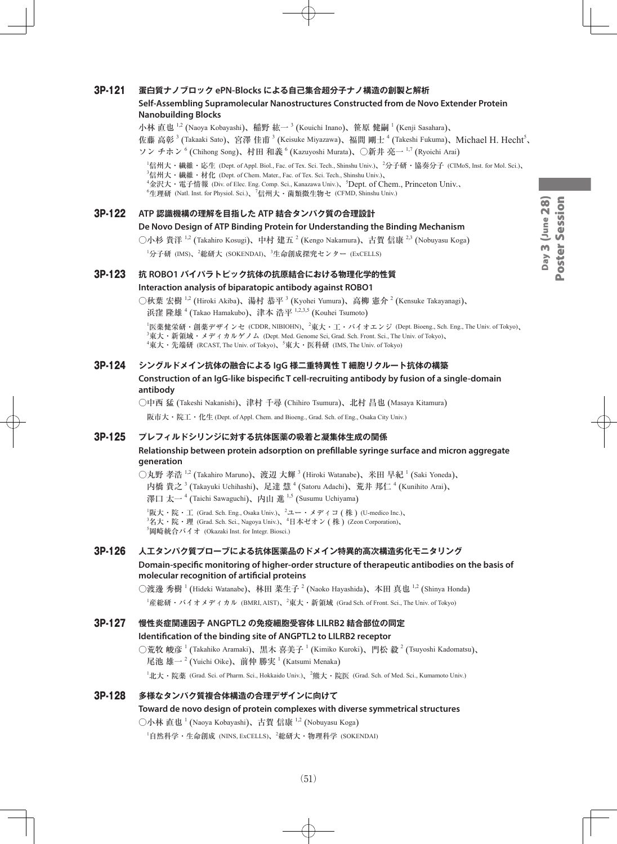#### 3P-121 **蛋白質ナノブロック ePN-Blocks による自己集合超分子ナノ構造の創製と解析**

#### **Self-Assembling Supramolecular Nanostructures Constructed from de Novo Extender Protein Nanobuilding Blocks**

小林 直也  $^{1,2}$  (Naoya Kobayashi)、稲野 紘一  $^3$  (Kouichi Inano)、笹原 健嗣  $^1$  (Kenji Sasahara)、 佐藤 高彰<sup>3</sup> (Takaaki Sato)、宮澤 佳甫<sup>3</sup> (Keisuke Miyazawa)、福間 剛士 <sup>4</sup> (Takeshi Fukuma)、Michael H. Hecht<sup>5</sup>、 ソン チホン <sup>6</sup> (Chihong Song)、村田 和義 <sup>6</sup> (Kazuyoshi Murata)、〇新井 亮一 <sup>1,7</sup> (Ryoichi Arai)

 $^1$ 信州大・繊維・応生 (Dept. of Appl. Biol., Fac. of Tex. Sci. Tech., Shinshu Univ.)、 $^2$ 分子研・協奏分子 (CIMoS, Inst. for Mol. Sci.)、

 $^3$ 信州大・繊維・材化 (Dept. of Chem. Mater., Fac. of Tex. Sci. Tech., Shinshu Univ.)、

<sup>4</sup>金沢大・電子情報 (Div. of Elec. Eng. Comp. Sci., Kanazawa Univ.)、<sup>5</sup>Dept. of Chem., Princeton Univ.、

 $^6$ 生理研 (Natl. Inst. for Physiol. Sci.)、 $^7$ 信州大・菌類微生物セ (CFMD, Shinshu Univ.)

3P-122 **ATP 認識機構の理解を目指した ATP 結合タンパク質の合理設計**

#### **De Novo Design of ATP Binding Protein for Understanding the Binding Mechanism**

○小杉 貴洋 <sup>1,2</sup> (Takahiro Kosugi)、中村 建五 <sup>2</sup> (Kengo Nakamura)、古賀 信康 <sup>2,3</sup> (Nobuyasu Koga)

<sup>1</sup>分子研 (IMS)、<sup>2</sup>総研大 (SOKENDAI)、<sup>3</sup>生命創成探究センター (ExCELLS)

#### 3P-123 **抗 ROBO1 バイパラトピック抗体の抗原結合における物理化学的性質 Interaction analysis of biparatopic antibody against ROBO1**

○秋葉 宏樹  $^{1,2}$  (Hiroki Akiba)、湯村 恭平  $^3$  (Kyohei Yumura)、高柳 憲介  $^2$  (Kensuke Takayanagi)、 浜窪 隆雄 <sup>4</sup> (Takao Hamakubo)、津本 浩平 <sup>1,2,3,5</sup> (Kouhei Tsumoto)

<sup>1</sup>医薬健栄研・創薬デザインセ (CDDR, NIBIOHN)、<sup>2</sup>東大・工・バイオエンジ (Dept. Bioeng., Sch. Eng., The Univ. of Tokyo)、  $^3$ 東大・新領域・メディカルゲノム (Dept. Med. Genome Sci, Grad. Sch. Front. Sci., The Univ. of Tokyo)、  ${}^4$ 東大・先端研 (RCAST, The Univ. of Tokyo)、 ${}^5$ 東大・医科研 (IMS, The Univ. of Tokyo)

#### 3P-124 **シングルドメイン抗体の融合による IgG 様二重特異性 T 細胞リクルート抗体の構築**

#### **Construction of an IgG-like bispecific T cell-recruiting antibody by fusion of a single-domain antibody**

○中西 猛 (Takeshi Nakanishi)、津村 千尋 (Chihiro Tsumura)、北村 昌也 (Masaya Kitamura)

阪市大・院工・化生 (Dept. of Appl. Chem. and Bioeng., Grad. Sch. of Eng., Osaka City Univ.)

#### 3P-125 **プレフィルドシリンジに対する抗体医薬の吸着と凝集体生成の関係**

#### **Relationship between protein adsorption on prefillable syringe surface and micron aggregate generation**

○丸野 孝浩  $^{1,2}$  (Takahiro Maruno)、渡辺 大輝  $^3$  (Hiroki Watanabe)、米田 早紀  $^1$  (Saki Yoneda)、 内橋 貴之  $^3$  (Takayuki Uchihashi)、足達 慧  $^4$  (Satoru Adachi)、荒井 邦仁  $^4$  (Kunihito Arai)、 澤口 太一<sup>4</sup> (Taichi Sawaguchi)、内山 進 <sup>1,5</sup> (Susumu Uchiyama)

 ${}^{1}$ 阪大・院・工 (Grad. Sch. Eng., Osaka Univ.)、 ${}^{2}$ ユー・メディコ ( 株 ) (U-medico Inc.)、  $^3$ 名大・院・理 (Grad. Sch. Sci., Nagoya Univ.)、 $^4$ 日本ゼオン ( 株 ) (Zeon Corporation)、 5 岡崎統合バイオ (Okazaki Inst. for Integr. Biosci.)

#### 3P-126 **人工タンパク質プローブによる抗体医薬品のドメイン特異的高次構造劣化モニタリング**

#### **Domain-specific monitoring of higher-order structure of therapeutic antibodies on the basis of molecular recognition of artificial proteins**

○渡邊 秀樹 <sup>1</sup> (Hideki Watanabe)、林田 菜生子 <sup>2</sup> (Naoko Hayashida)、本田 真也 <sup>1,2</sup> (Shinya Honda)  $^{\rm l}$ 産総研・バイオメディカル (BMRI, AIST)、 $^{\rm 2}$ 東大・新領域 (Grad Sch. of Front. Sci., The Univ. of Tokyo)

## 3P-127 **慢性炎症関連因子 ANGPTL2 の免疫細胞受容体 LILRB2 結合部位の同定 Identification of the binding site of ANGPTL2 to LILRB2 receptor**

○荒牧 峻彦 <sup>1</sup> (Takahiko Aramaki)、黒木 喜美子 <sup>1</sup> (Kimiko Kuroki)、門松 毅 <sup>2</sup> (Tsuyoshi Kadomatsu)、 尾池 雄一<sup>2</sup> (Yuichi Oike)、前仲 勝実 <sup>1</sup> (Katsumi Menaka) <sup>1</sup>北大・院薬 (Grad. Sci. of Pharm. Sci., Hokkaido Univ.)、<sup>2</sup>熊大・院医 (Grad. Sch. of Med. Sci., Kumamoto Univ.)

## 3P-128 **多様なタンパク質複合体構造の合理デザインに向けて Toward de novo design of protein complexes with diverse symmetrical structures** ○小林 直也 <sup>1</sup> (Naoya Kobayashi)、古賀 信康 1,2 (Nobuyasu Koga)

 $^1$ 自然科学・生命創成 (NINS, ExCELLS)、 $^2$ 総研大・物理科学 (SOKENDAI)